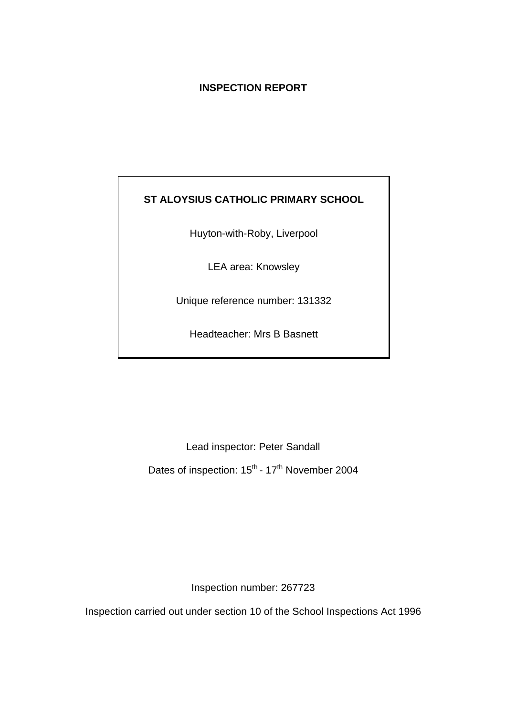# **INSPECTION REPORT**

# **ST ALOYSIUS CATHOLIC PRIMARY SCHOOL**

Huyton-with-Roby, Liverpool

LEA area: Knowsley

Unique reference number: 131332

Headteacher: Mrs B Basnett

Lead inspector: Peter Sandall Dates of inspection: 15<sup>th</sup> - 17<sup>th</sup> November 2004

Inspection number: 267723

Inspection carried out under section 10 of the School Inspections Act 1996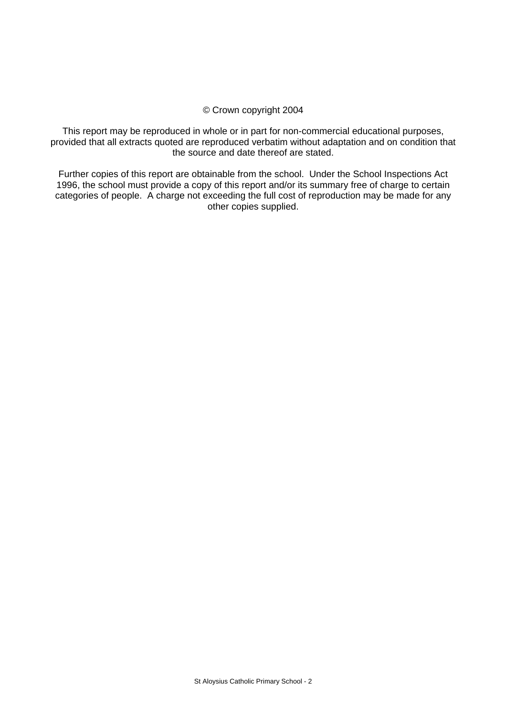### © Crown copyright 2004

This report may be reproduced in whole or in part for non-commercial educational purposes, provided that all extracts quoted are reproduced verbatim without adaptation and on condition that the source and date thereof are stated.

Further copies of this report are obtainable from the school. Under the School Inspections Act 1996, the school must provide a copy of this report and/or its summary free of charge to certain categories of people. A charge not exceeding the full cost of reproduction may be made for any other copies supplied.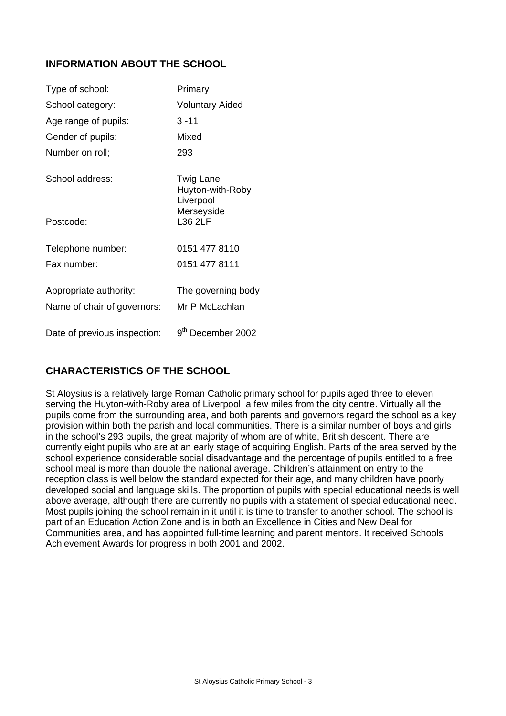# **INFORMATION ABOUT THE SCHOOL**

| Type of school:              | Primary                                                  |
|------------------------------|----------------------------------------------------------|
| School category:             | <b>Voluntary Aided</b>                                   |
| Age range of pupils:         | $3 - 11$                                                 |
| Gender of pupils:            | Mixed                                                    |
| Number on roll;              | 293                                                      |
| School address:              | Twig Lane<br>Huyton-with-Roby<br>Liverpool<br>Merseyside |
| Postcode:                    | <b>L36 2LF</b>                                           |
| Telephone number:            | 0151 477 8110                                            |
| Fax number:                  | 0151 477 8111                                            |
| Appropriate authority:       | The governing body                                       |
| Name of chair of governors:  | Mr P McLachlan                                           |
| Date of previous inspection: | 9 <sup>th</sup> December 2002                            |

# **CHARACTERISTICS OF THE SCHOOL**

St Aloysius is a relatively large Roman Catholic primary school for pupils aged three to eleven serving the Huyton-with-Roby area of Liverpool, a few miles from the city centre. Virtually all the pupils come from the surrounding area, and both parents and governors regard the school as a key provision within both the parish and local communities. There is a similar number of boys and girls in the school's 293 pupils, the great majority of whom are of white, British descent. There are currently eight pupils who are at an early stage of acquiring English. Parts of the area served by the school experience considerable social disadvantage and the percentage of pupils entitled to a free school meal is more than double the national average. Children's attainment on entry to the reception class is well below the standard expected for their age, and many children have poorly developed social and language skills. The proportion of pupils with special educational needs is well above average, although there are currently no pupils with a statement of special educational need. Most pupils joining the school remain in it until it is time to transfer to another school. The school is part of an Education Action Zone and is in both an Excellence in Cities and New Deal for Communities area, and has appointed full-time learning and parent mentors. It received Schools Achievement Awards for progress in both 2001 and 2002.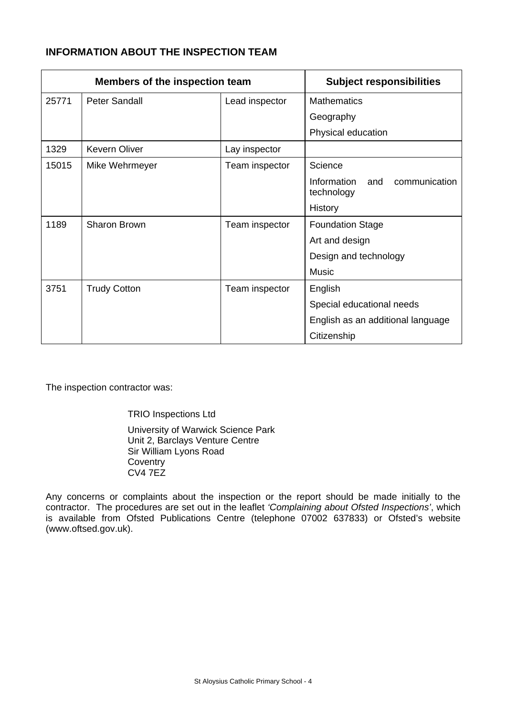# **INFORMATION ABOUT THE INSPECTION TEAM**

| <b>Members of the inspection team</b> |                      | <b>Subject responsibilities</b> |                                                   |
|---------------------------------------|----------------------|---------------------------------|---------------------------------------------------|
| 25771                                 | <b>Peter Sandall</b> | Lead inspector                  | <b>Mathematics</b>                                |
|                                       |                      |                                 | Geography                                         |
|                                       |                      |                                 | Physical education                                |
| 1329                                  | <b>Kevern Oliver</b> | Lay inspector                   |                                                   |
| 15015                                 | Mike Wehrmeyer       | Team inspector                  | Science                                           |
|                                       |                      |                                 | Information<br>communication<br>and<br>technology |
|                                       |                      |                                 | History                                           |
| 1189                                  | Sharon Brown         | Team inspector                  | <b>Foundation Stage</b>                           |
|                                       |                      |                                 | Art and design                                    |
|                                       |                      |                                 | Design and technology                             |
|                                       |                      |                                 | Music                                             |
| 3751                                  | <b>Trudy Cotton</b>  | Team inspector                  | English                                           |
|                                       |                      |                                 | Special educational needs                         |
|                                       |                      |                                 | English as an additional language                 |
|                                       |                      |                                 | Citizenship                                       |

The inspection contractor was:

TRIO Inspections Ltd

University of Warwick Science Park Unit 2, Barclays Venture Centre Sir William Lyons Road **Coventry** CV4 7EZ

Any concerns or complaints about the inspection or the report should be made initially to the contractor. The procedures are set out in the leaflet *'Complaining about Ofsted Inspections'*, which is available from Ofsted Publications Centre (telephone 07002 637833) or Ofsted's website (www.oftsed.gov.uk).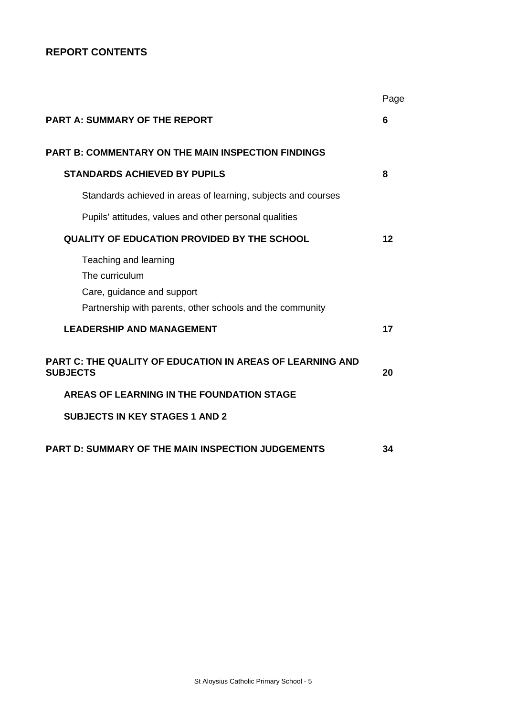# **REPORT CONTENTS**

|                                                                                                                                    | Page |
|------------------------------------------------------------------------------------------------------------------------------------|------|
| <b>PART A: SUMMARY OF THE REPORT</b>                                                                                               | 6    |
| <b>PART B: COMMENTARY ON THE MAIN INSPECTION FINDINGS</b>                                                                          |      |
| <b>STANDARDS ACHIEVED BY PUPILS</b>                                                                                                | 8    |
| Standards achieved in areas of learning, subjects and courses                                                                      |      |
| Pupils' attitudes, values and other personal qualities                                                                             |      |
| <b>QUALITY OF EDUCATION PROVIDED BY THE SCHOOL</b>                                                                                 | 12   |
| Teaching and learning<br>The curriculum<br>Care, guidance and support<br>Partnership with parents, other schools and the community |      |
| <b>LEADERSHIP AND MANAGEMENT</b>                                                                                                   | 17   |
| <b>PART C: THE QUALITY OF EDUCATION IN AREAS OF LEARNING AND</b><br><b>SUBJECTS</b>                                                | 20   |
| AREAS OF LEARNING IN THE FOUNDATION STAGE                                                                                          |      |
| <b>SUBJECTS IN KEY STAGES 1 AND 2</b>                                                                                              |      |
| <b>PART D: SUMMARY OF THE MAIN INSPECTION JUDGEMENTS</b>                                                                           | 34   |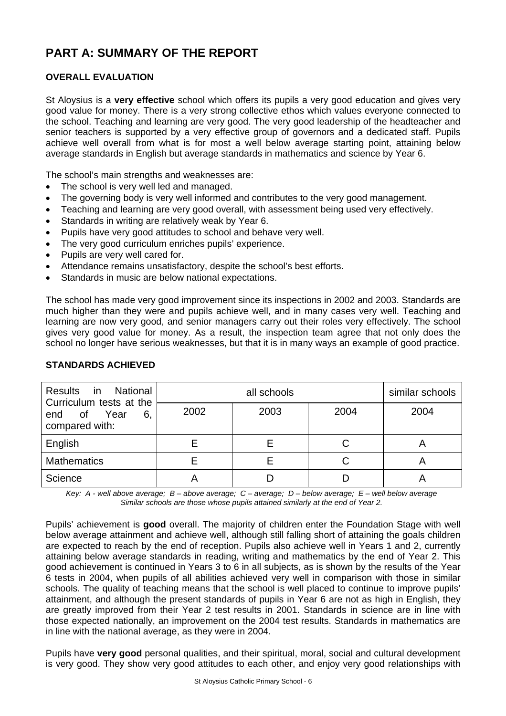# **PART A: SUMMARY OF THE REPORT**

## **OVERALL EVALUATION**

St Aloysius is a **very effective** school which offers its pupils a very good education and gives very good value for money. There is a very strong collective ethos which values everyone connected to the school. Teaching and learning are very good. The very good leadership of the headteacher and senior teachers is supported by a very effective group of governors and a dedicated staff. Pupils achieve well overall from what is for most a well below average starting point, attaining below average standards in English but average standards in mathematics and science by Year 6.

The school's main strengths and weaknesses are:

- The school is very well led and managed.
- The governing body is very well informed and contributes to the very good management.
- Teaching and learning are very good overall, with assessment being used very effectively.
- Standards in writing are relatively weak by Year 6.
- Pupils have very good attitudes to school and behave very well.
- The very good curriculum enriches pupils' experience.
- Pupils are very well cared for.
- Attendance remains unsatisfactory, despite the school's best efforts.
- Standards in music are below national expectations.

The school has made very good improvement since its inspections in 2002 and 2003. Standards are much higher than they were and pupils achieve well, and in many cases very well. Teaching and learning are now very good, and senior managers carry out their roles very effectively. The school gives very good value for money. As a result, the inspection team agree that not only does the school no longer have serious weaknesses, but that it is in many ways an example of good practice.

| in in<br>National<br><b>Results</b><br>Curriculum tests at the |      | similar schools |      |      |
|----------------------------------------------------------------|------|-----------------|------|------|
| Year<br>0f<br>6,<br>end<br>compared with:                      | 2002 | 2003            | 2004 | 2004 |
| English                                                        |      |                 | С    |      |
| <b>Mathematics</b>                                             |      |                 | С    |      |
| Science                                                        |      |                 |      |      |

## **STANDARDS ACHIEVED**

*Key: A - well above average; B – above average; C – average; D – below average; E – well below average Similar schools are those whose pupils attained similarly at the end of Year 2.* 

Pupils' achievement is **good** overall. The majority of children enter the Foundation Stage with well below average attainment and achieve well, although still falling short of attaining the goals children are expected to reach by the end of reception. Pupils also achieve well in Years 1 and 2, currently attaining below average standards in reading, writing and mathematics by the end of Year 2. This good achievement is continued in Years 3 to 6 in all subjects, as is shown by the results of the Year 6 tests in 2004, when pupils of all abilities achieved very well in comparison with those in similar schools. The quality of teaching means that the school is well placed to continue to improve pupils' attainment, and although the present standards of pupils in Year 6 are not as high in English, they are greatly improved from their Year 2 test results in 2001. Standards in science are in line with those expected nationally, an improvement on the 2004 test results. Standards in mathematics are in line with the national average, as they were in 2004.

Pupils have **very good** personal qualities, and their spiritual, moral, social and cultural development is very good. They show very good attitudes to each other, and enjoy very good relationships with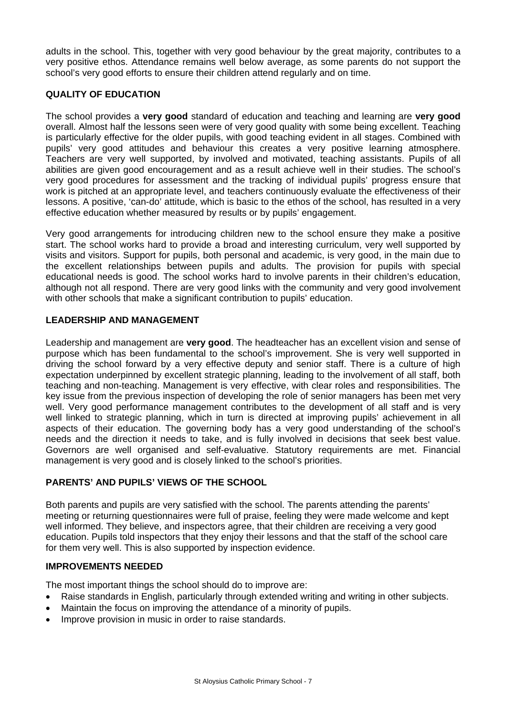adults in the school. This, together with very good behaviour by the great majority, contributes to a very positive ethos. Attendance remains well below average, as some parents do not support the school's very good efforts to ensure their children attend regularly and on time.

## **QUALITY OF EDUCATION**

The school provides a **very good** standard of education and teaching and learning are **very good**  overall. Almost half the lessons seen were of very good quality with some being excellent. Teaching is particularly effective for the older pupils, with good teaching evident in all stages. Combined with pupils' very good attitudes and behaviour this creates a very positive learning atmosphere. Teachers are very well supported, by involved and motivated, teaching assistants. Pupils of all abilities are given good encouragement and as a result achieve well in their studies. The school's very good procedures for assessment and the tracking of individual pupils' progress ensure that work is pitched at an appropriate level, and teachers continuously evaluate the effectiveness of their lessons. A positive, 'can-do' attitude, which is basic to the ethos of the school, has resulted in a very effective education whether measured by results or by pupils' engagement.

Very good arrangements for introducing children new to the school ensure they make a positive start. The school works hard to provide a broad and interesting curriculum, very well supported by visits and visitors. Support for pupils, both personal and academic, is very good, in the main due to the excellent relationships between pupils and adults. The provision for pupils with special educational needs is good. The school works hard to involve parents in their children's education, although not all respond. There are very good links with the community and very good involvement with other schools that make a significant contribution to pupils' education.

## **LEADERSHIP AND MANAGEMENT**

Leadership and management are **very good**. The headteacher has an excellent vision and sense of purpose which has been fundamental to the school's improvement. She is very well supported in driving the school forward by a very effective deputy and senior staff. There is a culture of high expectation underpinned by excellent strategic planning, leading to the involvement of all staff, both teaching and non-teaching. Management is very effective, with clear roles and responsibilities. The key issue from the previous inspection of developing the role of senior managers has been met very well. Very good performance management contributes to the development of all staff and is very well linked to strategic planning, which in turn is directed at improving pupils' achievement in all aspects of their education. The governing body has a very good understanding of the school's needs and the direction it needs to take, and is fully involved in decisions that seek best value. Governors are well organised and self-evaluative. Statutory requirements are met. Financial management is very good and is closely linked to the school's priorities.

## **PARENTS' AND PUPILS' VIEWS OF THE SCHOOL**

Both parents and pupils are very satisfied with the school. The parents attending the parents' meeting or returning questionnaires were full of praise, feeling they were made welcome and kept well informed. They believe, and inspectors agree, that their children are receiving a very good education. Pupils told inspectors that they enjoy their lessons and that the staff of the school care for them very well. This is also supported by inspection evidence.

## **IMPROVEMENTS NEEDED**

The most important things the school should do to improve are:

- Raise standards in English, particularly through extended writing and writing in other subjects.
- Maintain the focus on improving the attendance of a minority of pupils.
- Improve provision in music in order to raise standards.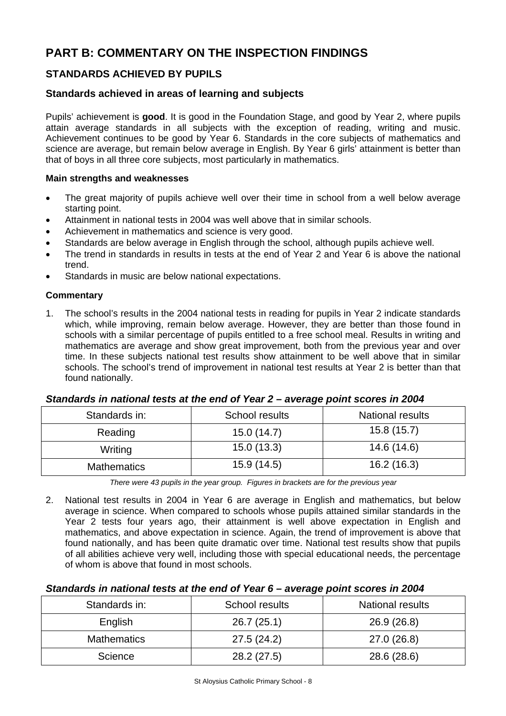# **PART B: COMMENTARY ON THE INSPECTION FINDINGS**

# **STANDARDS ACHIEVED BY PUPILS**

## **Standards achieved in areas of learning and subjects**

Pupils' achievement is **good**. It is good in the Foundation Stage, and good by Year 2, where pupils attain average standards in all subjects with the exception of reading, writing and music. Achievement continues to be good by Year 6. Standards in the core subjects of mathematics and science are average, but remain below average in English. By Year 6 girls' attainment is better than that of boys in all three core subjects, most particularly in mathematics.

### **Main strengths and weaknesses**

- The great majority of pupils achieve well over their time in school from a well below average starting point.
- Attainment in national tests in 2004 was well above that in similar schools.
- Achievement in mathematics and science is very good.
- Standards are below average in English through the school, although pupils achieve well.
- The trend in standards in results in tests at the end of Year 2 and Year 6 is above the national trend.
- Standards in music are below national expectations.

### **Commentary**

1. The school's results in the 2004 national tests in reading for pupils in Year 2 indicate standards which, while improving, remain below average. However, they are better than those found in schools with a similar percentage of pupils entitled to a free school meal. Results in writing and mathematics are average and show great improvement, both from the previous year and over time. In these subjects national test results show attainment to be well above that in similar schools. The school's trend of improvement in national test results at Year 2 is better than that found nationally.

#### *Standards in national tests at the end of Year 2 – average point scores in 2004*

| Standards in:      | School results | <b>National results</b> |
|--------------------|----------------|-------------------------|
| Reading            | 15.0(14.7)     | 15.8(15.7)              |
| Writing            | 15.0(13.3)     | 14.6 (14.6)             |
| <b>Mathematics</b> | 15.9(14.5)     | 16.2(16.3)              |

*There were 43 pupils in the year group. Figures in brackets are for the previous year* 

2. National test results in 2004 in Year 6 are average in English and mathematics, but below average in science. When compared to schools whose pupils attained similar standards in the Year 2 tests four years ago, their attainment is well above expectation in English and mathematics, and above expectation in science. Again, the trend of improvement is above that found nationally, and has been quite dramatic over time. National test results show that pupils of all abilities achieve very well, including those with special educational needs, the percentage of whom is above that found in most schools.

#### *Standards in national tests at the end of Year 6 – average point scores in 2004*

| Standards in:      | School results | National results |
|--------------------|----------------|------------------|
| English            | 26.7(25.1)     | 26.9 (26.8)      |
| <b>Mathematics</b> | 27.5(24.2)     | 27.0 (26.8)      |
| Science            | 28.2 (27.5)    | 28.6 (28.6)      |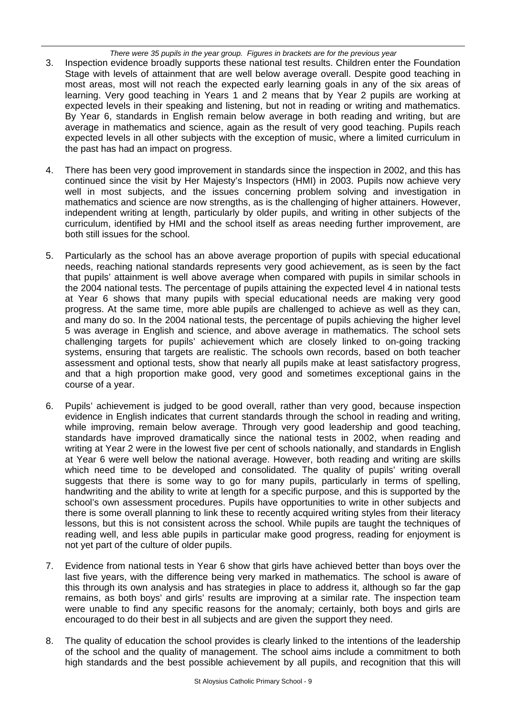*There were 35 pupils in the year group. Figures in brackets are for the previous year* 

- 3. Inspection evidence broadly supports these national test results. Children enter the Foundation Stage with levels of attainment that are well below average overall. Despite good teaching in most areas, most will not reach the expected early learning goals in any of the six areas of learning. Very good teaching in Years 1 and 2 means that by Year 2 pupils are working at expected levels in their speaking and listening, but not in reading or writing and mathematics. By Year 6, standards in English remain below average in both reading and writing, but are average in mathematics and science, again as the result of very good teaching. Pupils reach expected levels in all other subjects with the exception of music, where a limited curriculum in the past has had an impact on progress.
- 4. There has been very good improvement in standards since the inspection in 2002, and this has continued since the visit by Her Majesty's Inspectors (HMI) in 2003. Pupils now achieve very well in most subjects, and the issues concerning problem solving and investigation in mathematics and science are now strengths, as is the challenging of higher attainers. However, independent writing at length, particularly by older pupils, and writing in other subjects of the curriculum, identified by HMI and the school itself as areas needing further improvement, are both still issues for the school.
- 5. Particularly as the school has an above average proportion of pupils with special educational needs, reaching national standards represents very good achievement, as is seen by the fact that pupils' attainment is well above average when compared with pupils in similar schools in the 2004 national tests. The percentage of pupils attaining the expected level 4 in national tests at Year 6 shows that many pupils with special educational needs are making very good progress. At the same time, more able pupils are challenged to achieve as well as they can, and many do so. In the 2004 national tests, the percentage of pupils achieving the higher level 5 was average in English and science, and above average in mathematics. The school sets challenging targets for pupils' achievement which are closely linked to on-going tracking systems, ensuring that targets are realistic. The schools own records, based on both teacher assessment and optional tests, show that nearly all pupils make at least satisfactory progress, and that a high proportion make good, very good and sometimes exceptional gains in the course of a year.
- 6. Pupils' achievement is judged to be good overall, rather than very good, because inspection evidence in English indicates that current standards through the school in reading and writing, while improving, remain below average. Through very good leadership and good teaching, standards have improved dramatically since the national tests in 2002, when reading and writing at Year 2 were in the lowest five per cent of schools nationally, and standards in English at Year 6 were well below the national average. However, both reading and writing are skills which need time to be developed and consolidated. The quality of pupils' writing overall suggests that there is some way to go for many pupils, particularly in terms of spelling, handwriting and the ability to write at length for a specific purpose, and this is supported by the school's own assessment procedures. Pupils have opportunities to write in other subjects and there is some overall planning to link these to recently acquired writing styles from their literacy lessons, but this is not consistent across the school. While pupils are taught the techniques of reading well, and less able pupils in particular make good progress, reading for enjoyment is not yet part of the culture of older pupils.
- 7. Evidence from national tests in Year 6 show that girls have achieved better than boys over the last five years, with the difference being very marked in mathematics. The school is aware of this through its own analysis and has strategies in place to address it, although so far the gap remains, as both boys' and girls' results are improving at a similar rate. The inspection team were unable to find any specific reasons for the anomaly; certainly, both boys and girls are encouraged to do their best in all subjects and are given the support they need.
- 8. The quality of education the school provides is clearly linked to the intentions of the leadership of the school and the quality of management. The school aims include a commitment to both high standards and the best possible achievement by all pupils, and recognition that this will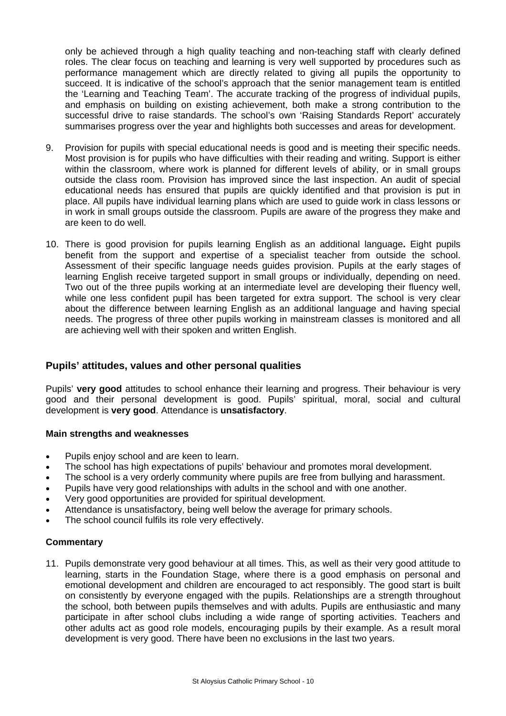only be achieved through a high quality teaching and non-teaching staff with clearly defined roles. The clear focus on teaching and learning is very well supported by procedures such as performance management which are directly related to giving all pupils the opportunity to succeed. It is indicative of the school's approach that the senior management team is entitled the 'Learning and Teaching Team'. The accurate tracking of the progress of individual pupils, and emphasis on building on existing achievement, both make a strong contribution to the successful drive to raise standards. The school's own 'Raising Standards Report' accurately summarises progress over the year and highlights both successes and areas for development.

- 9. Provision for pupils with special educational needs is good and is meeting their specific needs. Most provision is for pupils who have difficulties with their reading and writing. Support is either within the classroom, where work is planned for different levels of ability, or in small groups outside the class room. Provision has improved since the last inspection. An audit of special educational needs has ensured that pupils are quickly identified and that provision is put in place. All pupils have individual learning plans which are used to guide work in class lessons or in work in small groups outside the classroom. Pupils are aware of the progress they make and are keen to do well.
- 10. There is good provision for pupils learning English as an additional language**.** Eight pupils benefit from the support and expertise of a specialist teacher from outside the school. Assessment of their specific language needs guides provision. Pupils at the early stages of learning English receive targeted support in small groups or individually, depending on need. Two out of the three pupils working at an intermediate level are developing their fluency well, while one less confident pupil has been targeted for extra support. The school is very clear about the difference between learning English as an additional language and having special needs. The progress of three other pupils working in mainstream classes is monitored and all are achieving well with their spoken and written English.

## **Pupils' attitudes, values and other personal qualities**

Pupils' **very good** attitudes to school enhance their learning and progress. Their behaviour is very good and their personal development is good. Pupils' spiritual, moral, social and cultural development is **very good**. Attendance is **unsatisfactory**.

#### **Main strengths and weaknesses**

- Pupils enjoy school and are keen to learn.
- The school has high expectations of pupils' behaviour and promotes moral development.
- The school is a very orderly community where pupils are free from bullying and harassment.
- Pupils have very good relationships with adults in the school and with one another.
- Very good opportunities are provided for spiritual development.
- Attendance is unsatisfactory, being well below the average for primary schools.
- The school council fulfils its role very effectively.

#### **Commentary**

11. Pupils demonstrate very good behaviour at all times. This, as well as their very good attitude to learning, starts in the Foundation Stage, where there is a good emphasis on personal and emotional development and children are encouraged to act responsibly. The good start is built on consistently by everyone engaged with the pupils. Relationships are a strength throughout the school, both between pupils themselves and with adults. Pupils are enthusiastic and many participate in after school clubs including a wide range of sporting activities. Teachers and other adults act as good role models, encouraging pupils by their example. As a result moral development is very good. There have been no exclusions in the last two years.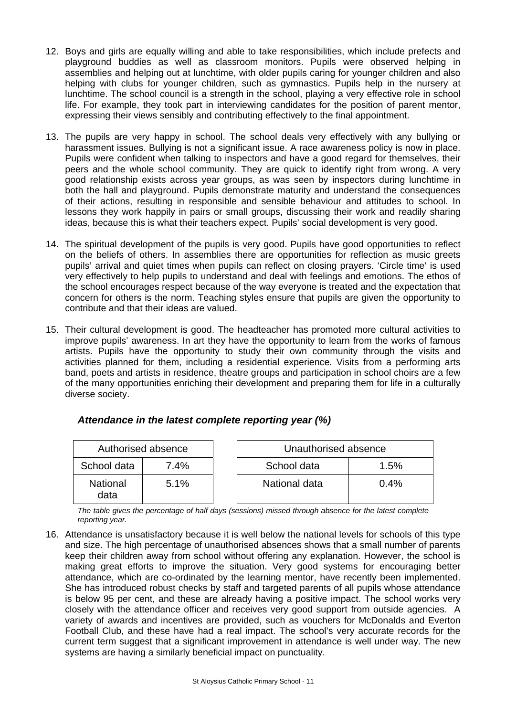- 12. Boys and girls are equally willing and able to take responsibilities, which include prefects and playground buddies as well as classroom monitors. Pupils were observed helping in assemblies and helping out at lunchtime, with older pupils caring for younger children and also helping with clubs for younger children, such as gymnastics. Pupils help in the nursery at lunchtime. The school council is a strength in the school, playing a very effective role in school life. For example, they took part in interviewing candidates for the position of parent mentor, expressing their views sensibly and contributing effectively to the final appointment.
- 13. The pupils are very happy in school. The school deals very effectively with any bullying or harassment issues. Bullying is not a significant issue. A race awareness policy is now in place. Pupils were confident when talking to inspectors and have a good regard for themselves, their peers and the whole school community. They are quick to identify right from wrong. A very good relationship exists across year groups, as was seen by inspectors during lunchtime in both the hall and playground. Pupils demonstrate maturity and understand the consequences of their actions, resulting in responsible and sensible behaviour and attitudes to school. In lessons they work happily in pairs or small groups, discussing their work and readily sharing ideas, because this is what their teachers expect. Pupils' social development is very good.
- 14. The spiritual development of the pupils is very good. Pupils have good opportunities to reflect on the beliefs of others. In assemblies there are opportunities for reflection as music greets pupils' arrival and quiet times when pupils can reflect on closing prayers. 'Circle time' is used very effectively to help pupils to understand and deal with feelings and emotions. The ethos of the school encourages respect because of the way everyone is treated and the expectation that concern for others is the norm. Teaching styles ensure that pupils are given the opportunity to contribute and that their ideas are valued.
- 15. Their cultural development is good. The headteacher has promoted more cultural activities to improve pupils' awareness. In art they have the opportunity to learn from the works of famous artists. Pupils have the opportunity to study their own community through the visits and activities planned for them, including a residential experience. Visits from a performing arts band, poets and artists in residence, theatre groups and participation in school choirs are a few of the many opportunities enriching their development and preparing them for life in a culturally diverse society.

| Authorised absence      |      | Unauthorised absence |         |
|-------------------------|------|----------------------|---------|
| School data             | 7.4% | School data          | $1.5\%$ |
| <b>National</b><br>data | 5.1% | National data        | $0.4\%$ |

# *Attendance in the latest complete reporting year (%)*

*The table gives the percentage of half days (sessions) missed through absence for the latest complete reporting year.*

16. Attendance is unsatisfactory because it is well below the national levels for schools of this type and size. The high percentage of unauthorised absences shows that a small number of parents keep their children away from school without offering any explanation. However, the school is making great efforts to improve the situation. Very good systems for encouraging better attendance, which are co-ordinated by the learning mentor, have recently been implemented. She has introduced robust checks by staff and targeted parents of all pupils whose attendance is below 95 per cent, and these are already having a positive impact. The school works very closely with the attendance officer and receives very good support from outside agencies. A variety of awards and incentives are provided, such as vouchers for McDonalds and Everton Football Club, and these have had a real impact. The school's very accurate records for the current term suggest that a significant improvement in attendance is well under way. The new systems are having a similarly beneficial impact on punctuality.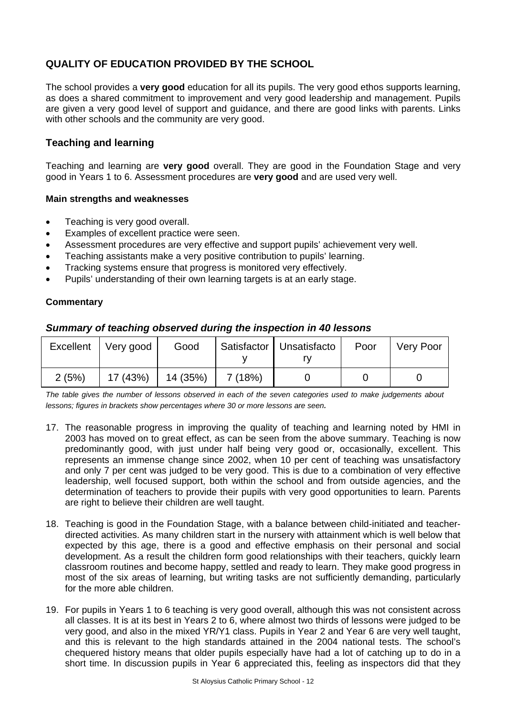# **QUALITY OF EDUCATION PROVIDED BY THE SCHOOL**

The school provides a **very good** education for all its pupils. The very good ethos supports learning, as does a shared commitment to improvement and very good leadership and management. Pupils are given a very good level of support and guidance, and there are good links with parents. Links with other schools and the community are very good.

# **Teaching and learning**

Teaching and learning are **very good** overall. They are good in the Foundation Stage and very good in Years 1 to 6. Assessment procedures are **very good** and are used very well.

### **Main strengths and weaknesses**

- Teaching is very good overall.
- Examples of excellent practice were seen.
- Assessment procedures are very effective and support pupils' achievement very well.
- Teaching assistants make a very positive contribution to pupils' learning.
- Tracking systems ensure that progress is monitored very effectively.
- Pupils' understanding of their own learning targets is at an early stage.

### **Commentary**

| Excellent | Very good | Good                            | Satisfactor   Unsatisfacto | Poor | Very Poor |
|-----------|-----------|---------------------------------|----------------------------|------|-----------|
| 2(5%)     |           | $17(43\%)$   14 (35%)   7 (18%) |                            |      |           |

## *Summary of teaching observed during the inspection in 40 lessons*

*The table gives the number of lessons observed in each of the seven categories used to make judgements about lessons; figures in brackets show percentages where 30 or more lessons are seen.* 

- 17. The reasonable progress in improving the quality of teaching and learning noted by HMI in 2003 has moved on to great effect, as can be seen from the above summary. Teaching is now predominantly good, with just under half being very good or, occasionally, excellent. This represents an immense change since 2002, when 10 per cent of teaching was unsatisfactory and only 7 per cent was judged to be very good. This is due to a combination of very effective leadership, well focused support, both within the school and from outside agencies, and the determination of teachers to provide their pupils with very good opportunities to learn. Parents are right to believe their children are well taught.
- 18. Teaching is good in the Foundation Stage, with a balance between child-initiated and teacherdirected activities. As many children start in the nursery with attainment which is well below that expected by this age, there is a good and effective emphasis on their personal and social development. As a result the children form good relationships with their teachers, quickly learn classroom routines and become happy, settled and ready to learn. They make good progress in most of the six areas of learning, but writing tasks are not sufficiently demanding, particularly for the more able children.
- 19. For pupils in Years 1 to 6 teaching is very good overall, although this was not consistent across all classes. It is at its best in Years 2 to 6, where almost two thirds of lessons were judged to be very good, and also in the mixed YR/Y1 class. Pupils in Year 2 and Year 6 are very well taught, and this is relevant to the high standards attained in the 2004 national tests. The school's chequered history means that older pupils especially have had a lot of catching up to do in a short time. In discussion pupils in Year 6 appreciated this, feeling as inspectors did that they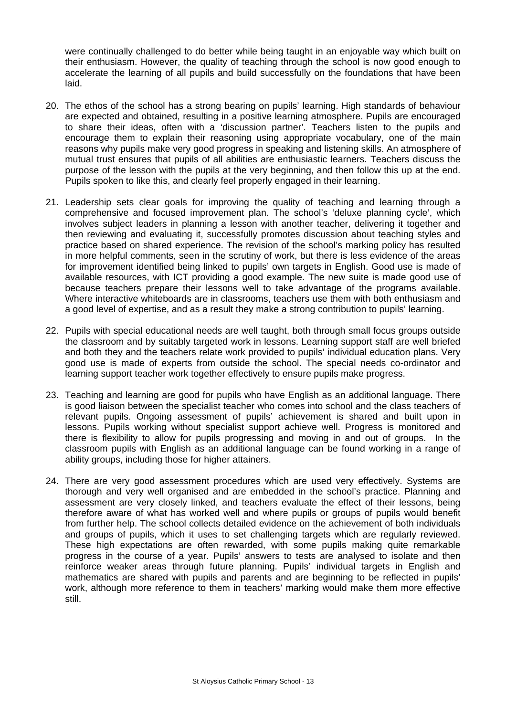were continually challenged to do better while being taught in an enjoyable way which built on their enthusiasm. However, the quality of teaching through the school is now good enough to accelerate the learning of all pupils and build successfully on the foundations that have been laid.

- 20. The ethos of the school has a strong bearing on pupils' learning. High standards of behaviour are expected and obtained, resulting in a positive learning atmosphere. Pupils are encouraged to share their ideas, often with a 'discussion partner'. Teachers listen to the pupils and encourage them to explain their reasoning using appropriate vocabulary, one of the main reasons why pupils make very good progress in speaking and listening skills. An atmosphere of mutual trust ensures that pupils of all abilities are enthusiastic learners. Teachers discuss the purpose of the lesson with the pupils at the very beginning, and then follow this up at the end. Pupils spoken to like this, and clearly feel properly engaged in their learning.
- 21. Leadership sets clear goals for improving the quality of teaching and learning through a comprehensive and focused improvement plan. The school's 'deluxe planning cycle', which involves subject leaders in planning a lesson with another teacher, delivering it together and then reviewing and evaluating it, successfully promotes discussion about teaching styles and practice based on shared experience. The revision of the school's marking policy has resulted in more helpful comments, seen in the scrutiny of work, but there is less evidence of the areas for improvement identified being linked to pupils' own targets in English. Good use is made of available resources, with ICT providing a good example. The new suite is made good use of because teachers prepare their lessons well to take advantage of the programs available. Where interactive whiteboards are in classrooms, teachers use them with both enthusiasm and a good level of expertise, and as a result they make a strong contribution to pupils' learning.
- 22. Pupils with special educational needs are well taught, both through small focus groups outside the classroom and by suitably targeted work in lessons. Learning support staff are well briefed and both they and the teachers relate work provided to pupils' individual education plans. Very good use is made of experts from outside the school. The special needs co-ordinator and learning support teacher work together effectively to ensure pupils make progress.
- 23. Teaching and learning are good for pupils who have English as an additional language. There is good liaison between the specialist teacher who comes into school and the class teachers of relevant pupils. Ongoing assessment of pupils' achievement is shared and built upon in lessons. Pupils working without specialist support achieve well. Progress is monitored and there is flexibility to allow for pupils progressing and moving in and out of groups. In the classroom pupils with English as an additional language can be found working in a range of ability groups, including those for higher attainers.
- 24. There are very good assessment procedures which are used very effectively. Systems are thorough and very well organised and are embedded in the school's practice. Planning and assessment are very closely linked, and teachers evaluate the effect of their lessons, being therefore aware of what has worked well and where pupils or groups of pupils would benefit from further help. The school collects detailed evidence on the achievement of both individuals and groups of pupils, which it uses to set challenging targets which are regularly reviewed. These high expectations are often rewarded, with some pupils making quite remarkable progress in the course of a year. Pupils' answers to tests are analysed to isolate and then reinforce weaker areas through future planning. Pupils' individual targets in English and mathematics are shared with pupils and parents and are beginning to be reflected in pupils' work, although more reference to them in teachers' marking would make them more effective still.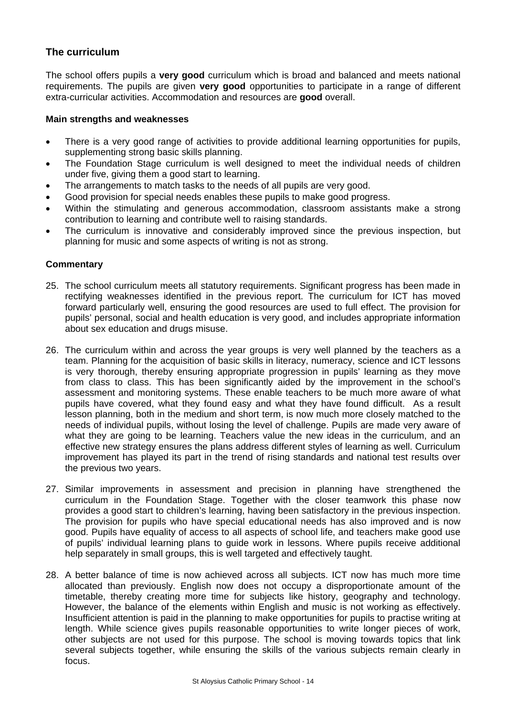# **The curriculum**

The school offers pupils a **very good** curriculum which is broad and balanced and meets national requirements. The pupils are given **very good** opportunities to participate in a range of different extra-curricular activities. Accommodation and resources are **good** overall.

### **Main strengths and weaknesses**

- There is a very good range of activities to provide additional learning opportunities for pupils, supplementing strong basic skills planning.
- The Foundation Stage curriculum is well designed to meet the individual needs of children under five, giving them a good start to learning.
- The arrangements to match tasks to the needs of all pupils are very good.
- Good provision for special needs enables these pupils to make good progress.
- Within the stimulating and generous accommodation, classroom assistants make a strong contribution to learning and contribute well to raising standards.
- The curriculum is innovative and considerably improved since the previous inspection, but planning for music and some aspects of writing is not as strong.

- 25. The school curriculum meets all statutory requirements. Significant progress has been made in rectifying weaknesses identified in the previous report. The curriculum for ICT has moved forward particularly well, ensuring the good resources are used to full effect. The provision for pupils' personal, social and health education is very good, and includes appropriate information about sex education and drugs misuse.
- 26. The curriculum within and across the year groups is very well planned by the teachers as a team. Planning for the acquisition of basic skills in literacy, numeracy, science and ICT lessons is very thorough, thereby ensuring appropriate progression in pupils' learning as they move from class to class. This has been significantly aided by the improvement in the school's assessment and monitoring systems. These enable teachers to be much more aware of what pupils have covered, what they found easy and what they have found difficult. As a result lesson planning, both in the medium and short term, is now much more closely matched to the needs of individual pupils, without losing the level of challenge. Pupils are made very aware of what they are going to be learning. Teachers value the new ideas in the curriculum, and an effective new strategy ensures the plans address different styles of learning as well. Curriculum improvement has played its part in the trend of rising standards and national test results over the previous two years.
- 27. Similar improvements in assessment and precision in planning have strengthened the curriculum in the Foundation Stage. Together with the closer teamwork this phase now provides a good start to children's learning, having been satisfactory in the previous inspection. The provision for pupils who have special educational needs has also improved and is now good. Pupils have equality of access to all aspects of school life, and teachers make good use of pupils' individual learning plans to guide work in lessons. Where pupils receive additional help separately in small groups, this is well targeted and effectively taught.
- 28. A better balance of time is now achieved across all subjects. ICT now has much more time allocated than previously. English now does not occupy a disproportionate amount of the timetable, thereby creating more time for subjects like history, geography and technology. However, the balance of the elements within English and music is not working as effectively. Insufficient attention is paid in the planning to make opportunities for pupils to practise writing at length. While science gives pupils reasonable opportunities to write longer pieces of work, other subjects are not used for this purpose. The school is moving towards topics that link several subjects together, while ensuring the skills of the various subjects remain clearly in focus.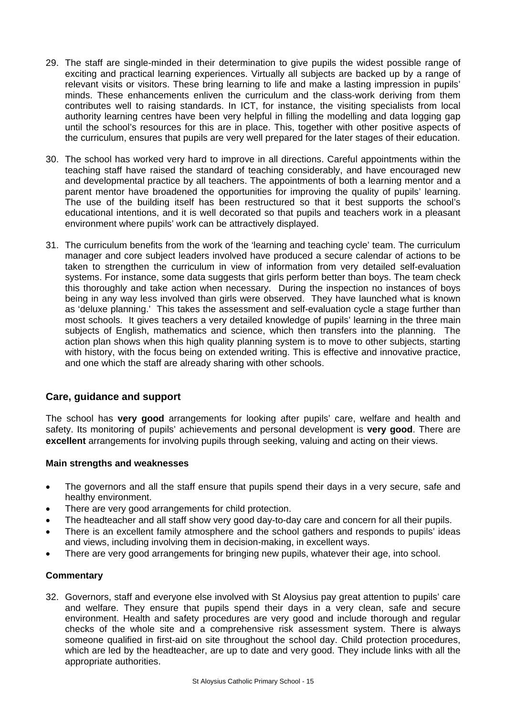- 29. The staff are single-minded in their determination to give pupils the widest possible range of exciting and practical learning experiences. Virtually all subjects are backed up by a range of relevant visits or visitors. These bring learning to life and make a lasting impression in pupils' minds. These enhancements enliven the curriculum and the class-work deriving from them contributes well to raising standards. In ICT, for instance, the visiting specialists from local authority learning centres have been very helpful in filling the modelling and data logging gap until the school's resources for this are in place. This, together with other positive aspects of the curriculum, ensures that pupils are very well prepared for the later stages of their education.
- 30. The school has worked very hard to improve in all directions. Careful appointments within the teaching staff have raised the standard of teaching considerably, and have encouraged new and developmental practice by all teachers. The appointments of both a learning mentor and a parent mentor have broadened the opportunities for improving the quality of pupils' learning. The use of the building itself has been restructured so that it best supports the school's educational intentions, and it is well decorated so that pupils and teachers work in a pleasant environment where pupils' work can be attractively displayed.
- 31. The curriculum benefits from the work of the 'learning and teaching cycle' team. The curriculum manager and core subject leaders involved have produced a secure calendar of actions to be taken to strengthen the curriculum in view of information from very detailed self-evaluation systems. For instance, some data suggests that girls perform better than boys. The team check this thoroughly and take action when necessary. During the inspection no instances of boys being in any way less involved than girls were observed. They have launched what is known as 'deluxe planning.' This takes the assessment and self-evaluation cycle a stage further than most schools. It gives teachers a very detailed knowledge of pupils' learning in the three main subjects of English, mathematics and science, which then transfers into the planning. The action plan shows when this high quality planning system is to move to other subjects, starting with history, with the focus being on extended writing. This is effective and innovative practice, and one which the staff are already sharing with other schools.

# **Care, guidance and support**

The school has **very good** arrangements for looking after pupils' care, welfare and health and safety. Its monitoring of pupils' achievements and personal development is **very good**. There are **excellent** arrangements for involving pupils through seeking, valuing and acting on their views.

## **Main strengths and weaknesses**

- The governors and all the staff ensure that pupils spend their days in a very secure, safe and healthy environment.
- There are very good arrangements for child protection.
- The headteacher and all staff show very good day-to-day care and concern for all their pupils.
- There is an excellent family atmosphere and the school gathers and responds to pupils' ideas and views, including involving them in decision-making, in excellent ways.
- There are very good arrangements for bringing new pupils, whatever their age, into school.

## **Commentary**

32. Governors, staff and everyone else involved with St Aloysius pay great attention to pupils' care and welfare. They ensure that pupils spend their days in a very clean, safe and secure environment. Health and safety procedures are very good and include thorough and regular checks of the whole site and a comprehensive risk assessment system. There is always someone qualified in first-aid on site throughout the school day. Child protection procedures, which are led by the headteacher, are up to date and very good. They include links with all the appropriate authorities.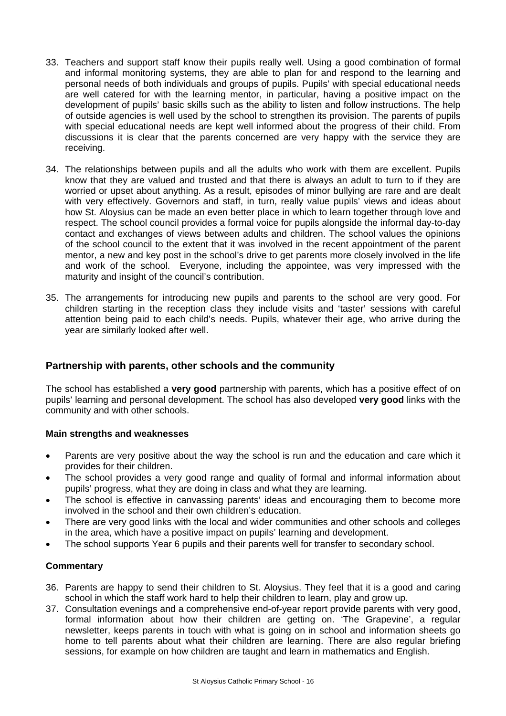- 33. Teachers and support staff know their pupils really well. Using a good combination of formal and informal monitoring systems, they are able to plan for and respond to the learning and personal needs of both individuals and groups of pupils. Pupils' with special educational needs are well catered for with the learning mentor, in particular, having a positive impact on the development of pupils' basic skills such as the ability to listen and follow instructions. The help of outside agencies is well used by the school to strengthen its provision. The parents of pupils with special educational needs are kept well informed about the progress of their child. From discussions it is clear that the parents concerned are very happy with the service they are receiving.
- 34. The relationships between pupils and all the adults who work with them are excellent. Pupils know that they are valued and trusted and that there is always an adult to turn to if they are worried or upset about anything. As a result, episodes of minor bullying are rare and are dealt with very effectively. Governors and staff, in turn, really value pupils' views and ideas about how St. Aloysius can be made an even better place in which to learn together through love and respect. The school council provides a formal voice for pupils alongside the informal day-to-day contact and exchanges of views between adults and children. The school values the opinions of the school council to the extent that it was involved in the recent appointment of the parent mentor, a new and key post in the school's drive to get parents more closely involved in the life and work of the school. Everyone, including the appointee, was very impressed with the maturity and insight of the council's contribution.
- 35. The arrangements for introducing new pupils and parents to the school are very good. For children starting in the reception class they include visits and 'taster' sessions with careful attention being paid to each child's needs. Pupils, whatever their age, who arrive during the year are similarly looked after well.

# **Partnership with parents, other schools and the community**

The school has established a **very good** partnership with parents, which has a positive effect of on pupils' learning and personal development. The school has also developed **very good** links with the community and with other schools.

## **Main strengths and weaknesses**

- Parents are very positive about the way the school is run and the education and care which it provides for their children.
- The school provides a very good range and quality of formal and informal information about pupils' progress, what they are doing in class and what they are learning.
- The school is effective in canvassing parents' ideas and encouraging them to become more involved in the school and their own children's education.
- There are very good links with the local and wider communities and other schools and colleges in the area, which have a positive impact on pupils' learning and development.
- The school supports Year 6 pupils and their parents well for transfer to secondary school.

- 36. Parents are happy to send their children to St. Aloysius. They feel that it is a good and caring school in which the staff work hard to help their children to learn, play and grow up.
- 37. Consultation evenings and a comprehensive end-of-year report provide parents with very good, formal information about how their children are getting on. 'The Grapevine', a regular newsletter, keeps parents in touch with what is going on in school and information sheets go home to tell parents about what their children are learning. There are also regular briefing sessions, for example on how children are taught and learn in mathematics and English.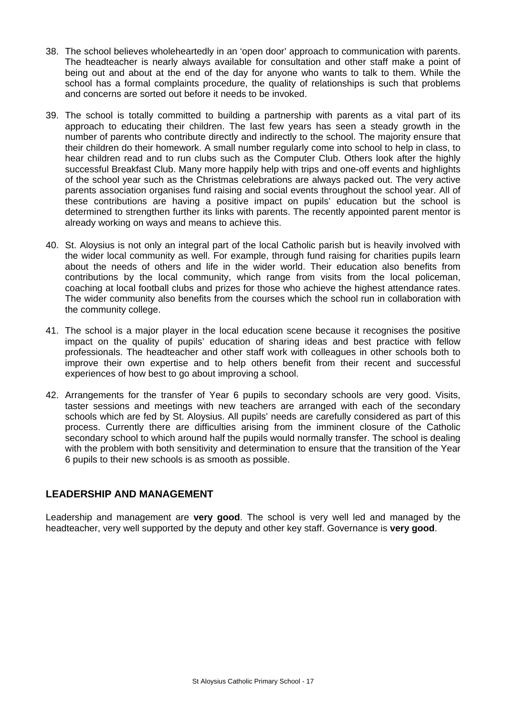- 38. The school believes wholeheartedly in an 'open door' approach to communication with parents. The headteacher is nearly always available for consultation and other staff make a point of being out and about at the end of the day for anyone who wants to talk to them. While the school has a formal complaints procedure, the quality of relationships is such that problems and concerns are sorted out before it needs to be invoked.
- 39. The school is totally committed to building a partnership with parents as a vital part of its approach to educating their children. The last few years has seen a steady growth in the number of parents who contribute directly and indirectly to the school. The majority ensure that their children do their homework. A small number regularly come into school to help in class, to hear children read and to run clubs such as the Computer Club. Others look after the highly successful Breakfast Club. Many more happily help with trips and one-off events and highlights of the school year such as the Christmas celebrations are always packed out. The very active parents association organises fund raising and social events throughout the school year. All of these contributions are having a positive impact on pupils' education but the school is determined to strengthen further its links with parents. The recently appointed parent mentor is already working on ways and means to achieve this.
- 40. St. Aloysius is not only an integral part of the local Catholic parish but is heavily involved with the wider local community as well. For example, through fund raising for charities pupils learn about the needs of others and life in the wider world. Their education also benefits from contributions by the local community, which range from visits from the local policeman, coaching at local football clubs and prizes for those who achieve the highest attendance rates. The wider community also benefits from the courses which the school run in collaboration with the community college.
- 41. The school is a major player in the local education scene because it recognises the positive impact on the quality of pupils' education of sharing ideas and best practice with fellow professionals. The headteacher and other staff work with colleagues in other schools both to improve their own expertise and to help others benefit from their recent and successful experiences of how best to go about improving a school.
- 42. Arrangements for the transfer of Year 6 pupils to secondary schools are very good. Visits, taster sessions and meetings with new teachers are arranged with each of the secondary schools which are fed by St. Aloysius. All pupils' needs are carefully considered as part of this process. Currently there are difficulties arising from the imminent closure of the Catholic secondary school to which around half the pupils would normally transfer. The school is dealing with the problem with both sensitivity and determination to ensure that the transition of the Year 6 pupils to their new schools is as smooth as possible.

# **LEADERSHIP AND MANAGEMENT**

Leadership and management are **very good**. The school is very well led and managed by the headteacher, very well supported by the deputy and other key staff. Governance is **very good**.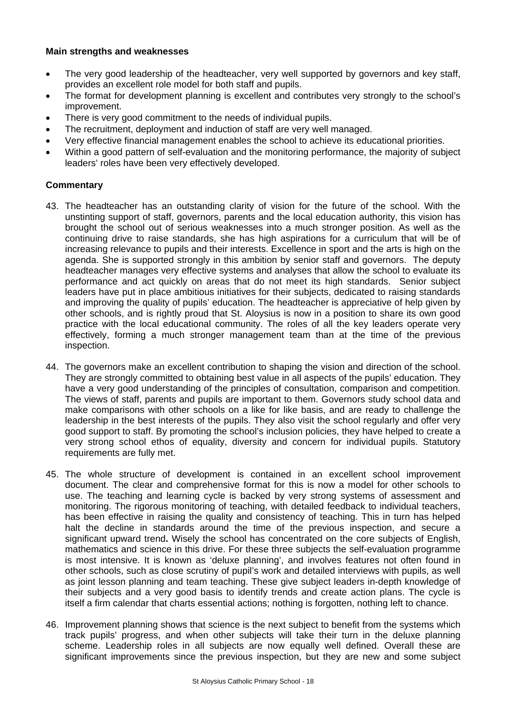### **Main strengths and weaknesses**

- The very good leadership of the headteacher, very well supported by governors and key staff, provides an excellent role model for both staff and pupils.
- The format for development planning is excellent and contributes very strongly to the school's improvement.
- There is very good commitment to the needs of individual pupils.
- The recruitment, deployment and induction of staff are very well managed.
- Very effective financial management enables the school to achieve its educational priorities.
- Within a good pattern of self-evaluation and the monitoring performance, the majority of subject leaders' roles have been very effectively developed.

- 43. The headteacher has an outstanding clarity of vision for the future of the school. With the unstinting support of staff, governors, parents and the local education authority, this vision has brought the school out of serious weaknesses into a much stronger position. As well as the continuing drive to raise standards, she has high aspirations for a curriculum that will be of increasing relevance to pupils and their interests. Excellence in sport and the arts is high on the agenda. She is supported strongly in this ambition by senior staff and governors. The deputy headteacher manages very effective systems and analyses that allow the school to evaluate its performance and act quickly on areas that do not meet its high standards. Senior subject leaders have put in place ambitious initiatives for their subjects, dedicated to raising standards and improving the quality of pupils' education. The headteacher is appreciative of help given by other schools, and is rightly proud that St. Aloysius is now in a position to share its own good practice with the local educational community. The roles of all the key leaders operate very effectively, forming a much stronger management team than at the time of the previous inspection.
- 44. The governors make an excellent contribution to shaping the vision and direction of the school. They are strongly committed to obtaining best value in all aspects of the pupils' education. They have a very good understanding of the principles of consultation, comparison and competition. The views of staff, parents and pupils are important to them. Governors study school data and make comparisons with other schools on a like for like basis, and are ready to challenge the leadership in the best interests of the pupils. They also visit the school regularly and offer very good support to staff. By promoting the school's inclusion policies, they have helped to create a very strong school ethos of equality, diversity and concern for individual pupils. Statutory requirements are fully met.
- 45. The whole structure of development is contained in an excellent school improvement document. The clear and comprehensive format for this is now a model for other schools to use. The teaching and learning cycle is backed by very strong systems of assessment and monitoring. The rigorous monitoring of teaching, with detailed feedback to individual teachers, has been effective in raising the quality and consistency of teaching. This in turn has helped halt the decline in standards around the time of the previous inspection, and secure a significant upward trend**.** Wisely the school has concentrated on the core subjects of English, mathematics and science in this drive. For these three subjects the self-evaluation programme is most intensive. It is known as 'deluxe planning', and involves features not often found in other schools, such as close scrutiny of pupil's work and detailed interviews with pupils, as well as joint lesson planning and team teaching. These give subject leaders in-depth knowledge of their subjects and a very good basis to identify trends and create action plans. The cycle is itself a firm calendar that charts essential actions; nothing is forgotten, nothing left to chance.
- 46. Improvement planning shows that science is the next subject to benefit from the systems which track pupils' progress, and when other subjects will take their turn in the deluxe planning scheme. Leadership roles in all subjects are now equally well defined. Overall these are significant improvements since the previous inspection, but they are new and some subject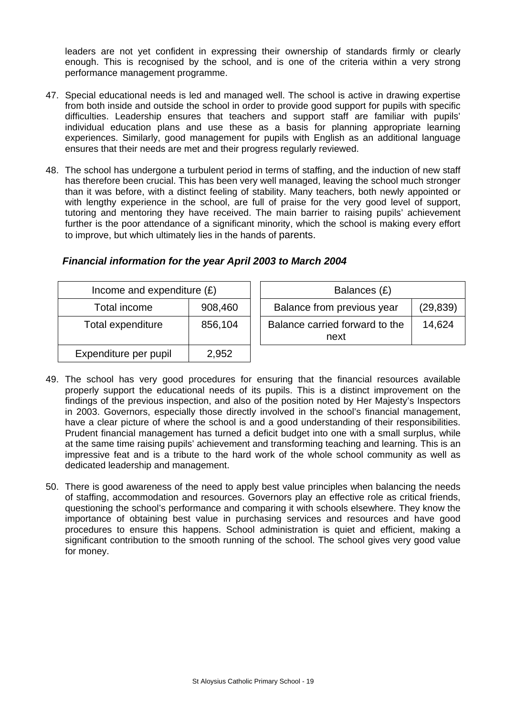leaders are not yet confident in expressing their ownership of standards firmly or clearly enough. This is recognised by the school, and is one of the criteria within a very strong performance management programme.

- 47. Special educational needs is led and managed well. The school is active in drawing expertise from both inside and outside the school in order to provide good support for pupils with specific difficulties. Leadership ensures that teachers and support staff are familiar with pupils' individual education plans and use these as a basis for planning appropriate learning experiences. Similarly, good management for pupils with English as an additional language ensures that their needs are met and their progress regularly reviewed.
- 48. The school has undergone a turbulent period in terms of staffing, and the induction of new staff has therefore been crucial. This has been very well managed, leaving the school much stronger than it was before, with a distinct feeling of stability. Many teachers, both newly appointed or with lengthy experience in the school, are full of praise for the very good level of support, tutoring and mentoring they have received. The main barrier to raising pupils' achievement further is the poor attendance of a significant minority, which the school is making every effort to improve, but which ultimately lies in the hands of parents.

| Income and expenditure $(E)$ |         | Balances (£)                           |           |
|------------------------------|---------|----------------------------------------|-----------|
| Total income                 | 908,460 | Balance from previous year             | (29, 839) |
| Total expenditure            | 856,104 | Balance carried forward to the<br>next | 14,624    |
| Expenditure per pupil        | 2,952   |                                        |           |

# *Financial information for the year April 2003 to March 2004*

- 49. The school has very good procedures for ensuring that the financial resources available properly support the educational needs of its pupils. This is a distinct improvement on the findings of the previous inspection, and also of the position noted by Her Majesty's Inspectors in 2003. Governors, especially those directly involved in the school's financial management, have a clear picture of where the school is and a good understanding of their responsibilities. Prudent financial management has turned a deficit budget into one with a small surplus, while at the same time raising pupils' achievement and transforming teaching and learning. This is an impressive feat and is a tribute to the hard work of the whole school community as well as dedicated leadership and management.
- 50. There is good awareness of the need to apply best value principles when balancing the needs of staffing, accommodation and resources. Governors play an effective role as critical friends, questioning the school's performance and comparing it with schools elsewhere. They know the importance of obtaining best value in purchasing services and resources and have good procedures to ensure this happens. School administration is quiet and efficient, making a significant contribution to the smooth running of the school. The school gives very good value for money.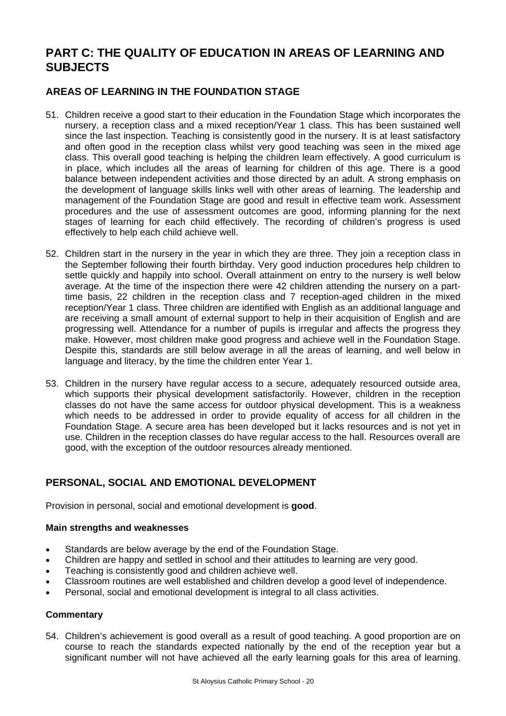# **PART C: THE QUALITY OF EDUCATION IN AREAS OF LEARNING AND SUBJECTS**

# **AREAS OF LEARNING IN THE FOUNDATION STAGE**

- 51. Children receive a good start to their education in the Foundation Stage which incorporates the nursery, a reception class and a mixed reception/Year 1 class. This has been sustained well since the last inspection. Teaching is consistently good in the nursery. It is at least satisfactory and often good in the reception class whilst very good teaching was seen in the mixed age class. This overall good teaching is helping the children learn effectively. A good curriculum is in place, which includes all the areas of learning for children of this age. There is a good balance between independent activities and those directed by an adult. A strong emphasis on the development of language skills links well with other areas of learning. The leadership and management of the Foundation Stage are good and result in effective team work. Assessment procedures and the use of assessment outcomes are good, informing planning for the next stages of learning for each child effectively. The recording of children's progress is used effectively to help each child achieve well.
- 52. Children start in the nursery in the year in which they are three. They join a reception class in the September following their fourth birthday. Very good induction procedures help children to settle quickly and happily into school. Overall attainment on entry to the nursery is well below average. At the time of the inspection there were 42 children attending the nursery on a parttime basis, 22 children in the reception class and 7 reception-aged children in the mixed reception/Year 1 class. Three children are identified with English as an additional language and are receiving a small amount of external support to help in their acquisition of English and are progressing well. Attendance for a number of pupils is irregular and affects the progress they make. However, most children make good progress and achieve well in the Foundation Stage. Despite this, standards are still below average in all the areas of learning, and well below in language and literacy, by the time the children enter Year 1.
- 53. Children in the nursery have regular access to a secure, adequately resourced outside area, which supports their physical development satisfactorily. However, children in the reception classes do not have the same access for outdoor physical development. This is a weakness which needs to be addressed in order to provide equality of access for all children in the Foundation Stage. A secure area has been developed but it lacks resources and is not yet in use. Children in the reception classes do have regular access to the hall. Resources overall are good, with the exception of the outdoor resources already mentioned.

# **PERSONAL, SOCIAL AND EMOTIONAL DEVELOPMENT**

Provision in personal, social and emotional development is **good**.

## **Main strengths and weaknesses**

- Standards are below average by the end of the Foundation Stage.
- Children are happy and settled in school and their attitudes to learning are very good.
- Teaching is consistently good and children achieve well.
- Classroom routines are well established and children develop a good level of independence.
- Personal, social and emotional development is integral to all class activities.

## **Commentary**

54. Children's achievement is good overall as a result of good teaching. A good proportion are on course to reach the standards expected nationally by the end of the reception year but a significant number will not have achieved all the early learning goals for this area of learning.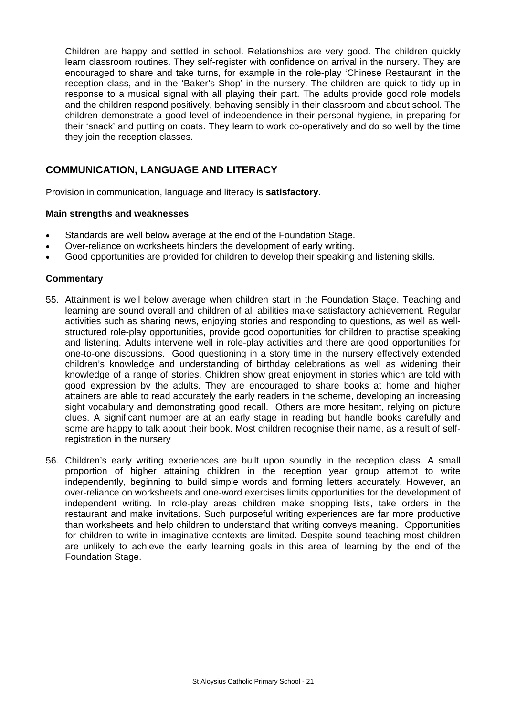Children are happy and settled in school. Relationships are very good. The children quickly learn classroom routines. They self-register with confidence on arrival in the nursery. They are encouraged to share and take turns, for example in the role-play 'Chinese Restaurant' in the reception class, and in the 'Baker's Shop' in the nursery. The children are quick to tidy up in response to a musical signal with all playing their part. The adults provide good role models and the children respond positively, behaving sensibly in their classroom and about school. The children demonstrate a good level of independence in their personal hygiene, in preparing for their 'snack' and putting on coats. They learn to work co-operatively and do so well by the time they join the reception classes.

# **COMMUNICATION, LANGUAGE AND LITERACY**

Provision in communication, language and literacy is **satisfactory**.

### **Main strengths and weaknesses**

- Standards are well below average at the end of the Foundation Stage.
- Over-reliance on worksheets hinders the development of early writing.
- Good opportunities are provided for children to develop their speaking and listening skills.

- 55. Attainment is well below average when children start in the Foundation Stage. Teaching and learning are sound overall and children of all abilities make satisfactory achievement. Regular activities such as sharing news, enjoying stories and responding to questions, as well as wellstructured role-play opportunities, provide good opportunities for children to practise speaking and listening. Adults intervene well in role-play activities and there are good opportunities for one-to-one discussions. Good questioning in a story time in the nursery effectively extended children's knowledge and understanding of birthday celebrations as well as widening their knowledge of a range of stories. Children show great enjoyment in stories which are told with good expression by the adults. They are encouraged to share books at home and higher attainers are able to read accurately the early readers in the scheme, developing an increasing sight vocabulary and demonstrating good recall. Others are more hesitant, relying on picture clues. A significant number are at an early stage in reading but handle books carefully and some are happy to talk about their book. Most children recognise their name, as a result of selfregistration in the nursery
- 56. Children's early writing experiences are built upon soundly in the reception class. A small proportion of higher attaining children in the reception year group attempt to write independently, beginning to build simple words and forming letters accurately. However, an over-reliance on worksheets and one-word exercises limits opportunities for the development of independent writing. In role-play areas children make shopping lists, take orders in the restaurant and make invitations. Such purposeful writing experiences are far more productive than worksheets and help children to understand that writing conveys meaning. Opportunities for children to write in imaginative contexts are limited. Despite sound teaching most children are unlikely to achieve the early learning goals in this area of learning by the end of the Foundation Stage.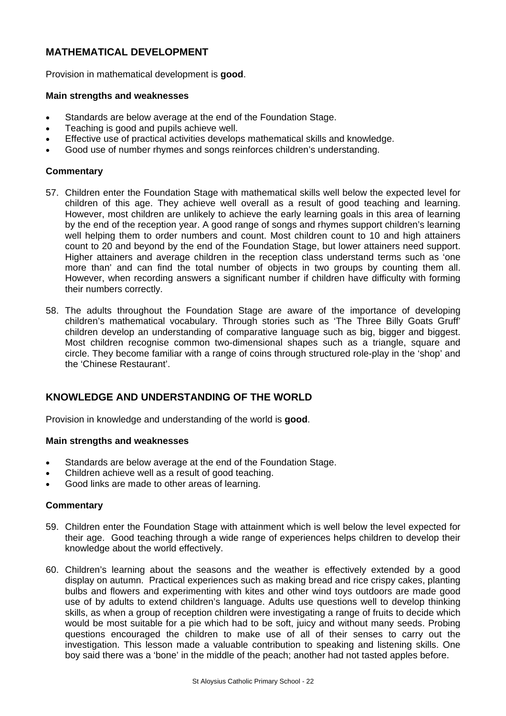# **MATHEMATICAL DEVELOPMENT**

Provision in mathematical development is **good**.

#### **Main strengths and weaknesses**

- Standards are below average at the end of the Foundation Stage.
- Teaching is good and pupils achieve well.
- Effective use of practical activities develops mathematical skills and knowledge.
- Good use of number rhymes and songs reinforces children's understanding.

### **Commentary**

- 57. Children enter the Foundation Stage with mathematical skills well below the expected level for children of this age. They achieve well overall as a result of good teaching and learning. However, most children are unlikely to achieve the early learning goals in this area of learning by the end of the reception year. A good range of songs and rhymes support children's learning well helping them to order numbers and count. Most children count to 10 and high attainers count to 20 and beyond by the end of the Foundation Stage, but lower attainers need support. Higher attainers and average children in the reception class understand terms such as 'one more than' and can find the total number of objects in two groups by counting them all. However, when recording answers a significant number if children have difficulty with forming their numbers correctly.
- 58. The adults throughout the Foundation Stage are aware of the importance of developing children's mathematical vocabulary. Through stories such as 'The Three Billy Goats Gruff' children develop an understanding of comparative language such as big, bigger and biggest. Most children recognise common two-dimensional shapes such as a triangle, square and circle. They become familiar with a range of coins through structured role-play in the 'shop' and the 'Chinese Restaurant'.

# **KNOWLEDGE AND UNDERSTANDING OF THE WORLD**

Provision in knowledge and understanding of the world is **good**.

#### **Main strengths and weaknesses**

- Standards are below average at the end of the Foundation Stage.
- Children achieve well as a result of good teaching.
- Good links are made to other areas of learning.

- 59. Children enter the Foundation Stage with attainment which is well below the level expected for their age. Good teaching through a wide range of experiences helps children to develop their knowledge about the world effectively.
- 60. Children's learning about the seasons and the weather is effectively extended by a good display on autumn. Practical experiences such as making bread and rice crispy cakes, planting bulbs and flowers and experimenting with kites and other wind toys outdoors are made good use of by adults to extend children's language. Adults use questions well to develop thinking skills, as when a group of reception children were investigating a range of fruits to decide which would be most suitable for a pie which had to be soft, juicy and without many seeds. Probing questions encouraged the children to make use of all of their senses to carry out the investigation. This lesson made a valuable contribution to speaking and listening skills. One boy said there was a 'bone' in the middle of the peach; another had not tasted apples before.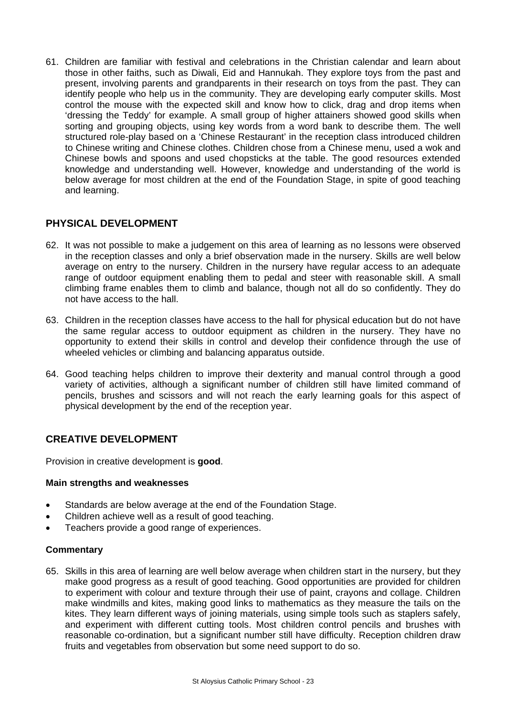61. Children are familiar with festival and celebrations in the Christian calendar and learn about those in other faiths, such as Diwali, Eid and Hannukah. They explore toys from the past and present, involving parents and grandparents in their research on toys from the past. They can identify people who help us in the community. They are developing early computer skills. Most control the mouse with the expected skill and know how to click, drag and drop items when 'dressing the Teddy' for example. A small group of higher attainers showed good skills when sorting and grouping objects, using key words from a word bank to describe them. The well structured role-play based on a 'Chinese Restaurant' in the reception class introduced children to Chinese writing and Chinese clothes. Children chose from a Chinese menu, used a wok and Chinese bowls and spoons and used chopsticks at the table. The good resources extended knowledge and understanding well. However, knowledge and understanding of the world is below average for most children at the end of the Foundation Stage, in spite of good teaching and learning.

# **PHYSICAL DEVELOPMENT**

- 62. It was not possible to make a judgement on this area of learning as no lessons were observed in the reception classes and only a brief observation made in the nursery. Skills are well below average on entry to the nursery. Children in the nursery have regular access to an adequate range of outdoor equipment enabling them to pedal and steer with reasonable skill. A small climbing frame enables them to climb and balance, though not all do so confidently. They do not have access to the hall.
- 63. Children in the reception classes have access to the hall for physical education but do not have the same regular access to outdoor equipment as children in the nursery. They have no opportunity to extend their skills in control and develop their confidence through the use of wheeled vehicles or climbing and balancing apparatus outside.
- 64. Good teaching helps children to improve their dexterity and manual control through a good variety of activities, although a significant number of children still have limited command of pencils, brushes and scissors and will not reach the early learning goals for this aspect of physical development by the end of the reception year.

# **CREATIVE DEVELOPMENT**

Provision in creative development is **good**.

## **Main strengths and weaknesses**

- Standards are below average at the end of the Foundation Stage.
- Children achieve well as a result of good teaching.
- Teachers provide a good range of experiences.

## **Commentary**

65. Skills in this area of learning are well below average when children start in the nursery, but they make good progress as a result of good teaching. Good opportunities are provided for children to experiment with colour and texture through their use of paint, crayons and collage. Children make windmills and kites, making good links to mathematics as they measure the tails on the kites. They learn different ways of joining materials, using simple tools such as staplers safely, and experiment with different cutting tools. Most children control pencils and brushes with reasonable co-ordination, but a significant number still have difficulty. Reception children draw fruits and vegetables from observation but some need support to do so.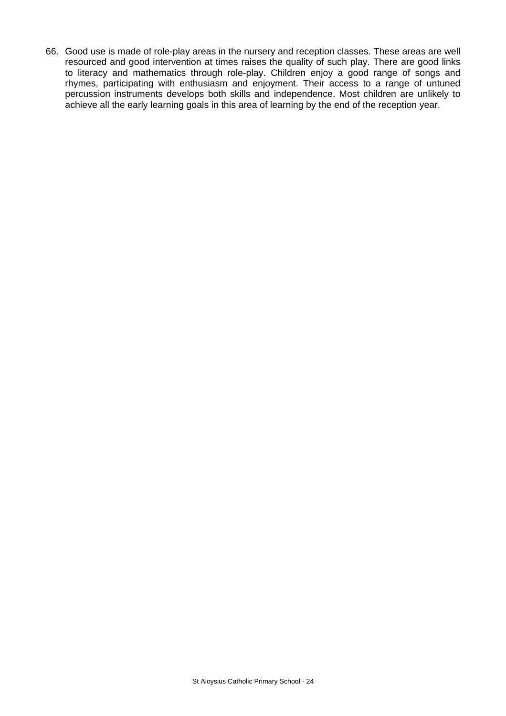66. Good use is made of role-play areas in the nursery and reception classes. These areas are well resourced and good intervention at times raises the quality of such play. There are good links to literacy and mathematics through role-play. Children enjoy a good range of songs and rhymes, participating with enthusiasm and enjoyment. Their access to a range of untuned percussion instruments develops both skills and independence. Most children are unlikely to achieve all the early learning goals in this area of learning by the end of the reception year.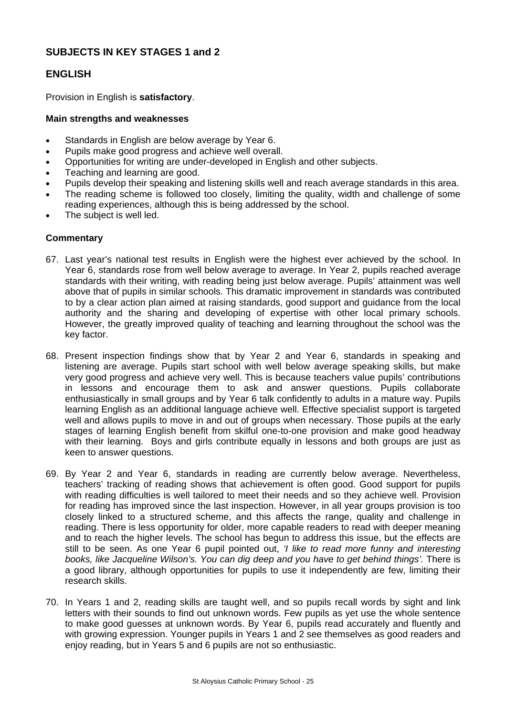# **SUBJECTS IN KEY STAGES 1 and 2**

# **ENGLISH**

Provision in English is **satisfactory**.

### **Main strengths and weaknesses**

- Standards in English are below average by Year 6.
- Pupils make good progress and achieve well overall.
- Opportunities for writing are under-developed in English and other subjects.
- Teaching and learning are good.
- Pupils develop their speaking and listening skills well and reach average standards in this area.
- The reading scheme is followed too closely, limiting the quality, width and challenge of some reading experiences, although this is being addressed by the school.
- The subject is well led.

- 67. Last year's national test results in English were the highest ever achieved by the school. In Year 6, standards rose from well below average to average. In Year 2, pupils reached average standards with their writing, with reading being just below average. Pupils' attainment was well above that of pupils in similar schools. This dramatic improvement in standards was contributed to by a clear action plan aimed at raising standards, good support and guidance from the local authority and the sharing and developing of expertise with other local primary schools. However, the greatly improved quality of teaching and learning throughout the school was the key factor.
- 68. Present inspection findings show that by Year 2 and Year 6, standards in speaking and listening are average. Pupils start school with well below average speaking skills, but make very good progress and achieve very well. This is because teachers value pupils' contributions in lessons and encourage them to ask and answer questions. Pupils collaborate enthusiastically in small groups and by Year 6 talk confidently to adults in a mature way. Pupils learning English as an additional language achieve well. Effective specialist support is targeted well and allows pupils to move in and out of groups when necessary. Those pupils at the early stages of learning English benefit from skilful one-to-one provision and make good headway with their learning. Boys and girls contribute equally in lessons and both groups are just as keen to answer questions.
- 69. By Year 2 and Year 6, standards in reading are currently below average. Nevertheless, teachers' tracking of reading shows that achievement is often good. Good support for pupils with reading difficulties is well tailored to meet their needs and so they achieve well. Provision for reading has improved since the last inspection. However, in all year groups provision is too closely linked to a structured scheme, and this affects the range, quality and challenge in reading. There is less opportunity for older, more capable readers to read with deeper meaning and to reach the higher levels. The school has begun to address this issue, but the effects are still to be seen. As one Year 6 pupil pointed out, *'I like to read more funny and interesting books, like Jacqueline Wilson's. You can dig deep and you have to get behind things'.* There is a good library, although opportunities for pupils to use it independently are few, limiting their research skills.
- 70. In Years 1 and 2, reading skills are taught well, and so pupils recall words by sight and link letters with their sounds to find out unknown words. Few pupils as yet use the whole sentence to make good guesses at unknown words. By Year 6, pupils read accurately and fluently and with growing expression. Younger pupils in Years 1 and 2 see themselves as good readers and enjoy reading, but in Years 5 and 6 pupils are not so enthusiastic.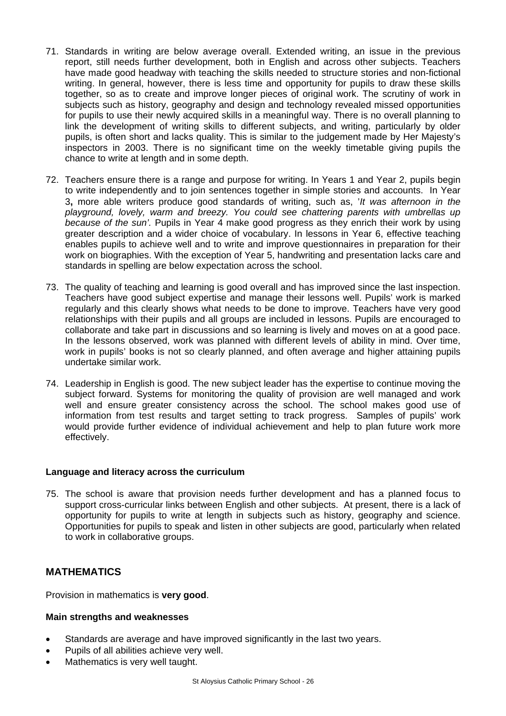- 71. Standards in writing are below average overall. Extended writing, an issue in the previous report, still needs further development, both in English and across other subjects. Teachers have made good headway with teaching the skills needed to structure stories and non-fictional writing. In general, however, there is less time and opportunity for pupils to draw these skills together, so as to create and improve longer pieces of original work. The scrutiny of work in subjects such as history, geography and design and technology revealed missed opportunities for pupils to use their newly acquired skills in a meaningful way. There is no overall planning to link the development of writing skills to different subjects, and writing, particularly by older pupils, is often short and lacks quality. This is similar to the judgement made by Her Majesty's inspectors in 2003. There is no significant time on the weekly timetable giving pupils the chance to write at length and in some depth.
- 72. Teachers ensure there is a range and purpose for writing. In Years 1 and Year 2, pupils begin to write independently and to join sentences together in simple stories and accounts. In Year 3**,** more able writers produce good standards of writing, such as, '*It was afternoon in the playground, lovely, warm and breezy. You could see chattering parents with umbrellas up because of the sun'.* Pupils in Year 4 make good progress as they enrich their work by using greater description and a wider choice of vocabulary. In lessons in Year 6, effective teaching enables pupils to achieve well and to write and improve questionnaires in preparation for their work on biographies. With the exception of Year 5, handwriting and presentation lacks care and standards in spelling are below expectation across the school.
- 73. The quality of teaching and learning is good overall and has improved since the last inspection. Teachers have good subject expertise and manage their lessons well. Pupils' work is marked regularly and this clearly shows what needs to be done to improve. Teachers have very good relationships with their pupils and all groups are included in lessons. Pupils are encouraged to collaborate and take part in discussions and so learning is lively and moves on at a good pace. In the lessons observed, work was planned with different levels of ability in mind. Over time, work in pupils' books is not so clearly planned, and often average and higher attaining pupils undertake similar work.
- 74. Leadership in English is good. The new subject leader has the expertise to continue moving the subject forward. Systems for monitoring the quality of provision are well managed and work well and ensure greater consistency across the school. The school makes good use of information from test results and target setting to track progress. Samples of pupils' work would provide further evidence of individual achievement and help to plan future work more effectively.

## **Language and literacy across the curriculum**

75. The school is aware that provision needs further development and has a planned focus to support cross-curricular links between English and other subjects. At present, there is a lack of opportunity for pupils to write at length in subjects such as history, geography and science. Opportunities for pupils to speak and listen in other subjects are good, particularly when related to work in collaborative groups.

# **MATHEMATICS**

Provision in mathematics is **very good**.

#### **Main strengths and weaknesses**

- Standards are average and have improved significantly in the last two vears.
- Pupils of all abilities achieve very well.
- Mathematics is very well taught.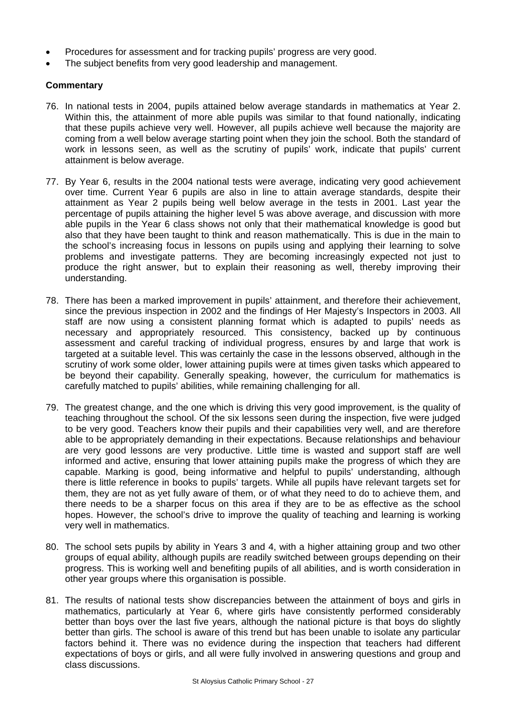- Procedures for assessment and for tracking pupils' progress are very good.
- The subject benefits from very good leadership and management.

- 76. In national tests in 2004, pupils attained below average standards in mathematics at Year 2. Within this, the attainment of more able pupils was similar to that found nationally, indicating that these pupils achieve very well. However, all pupils achieve well because the majority are coming from a well below average starting point when they join the school. Both the standard of work in lessons seen, as well as the scrutiny of pupils' work, indicate that pupils' current attainment is below average.
- 77. By Year 6, results in the 2004 national tests were average, indicating very good achievement over time. Current Year 6 pupils are also in line to attain average standards, despite their attainment as Year 2 pupils being well below average in the tests in 2001. Last year the percentage of pupils attaining the higher level 5 was above average, and discussion with more able pupils in the Year 6 class shows not only that their mathematical knowledge is good but also that they have been taught to think and reason mathematically. This is due in the main to the school's increasing focus in lessons on pupils using and applying their learning to solve problems and investigate patterns. They are becoming increasingly expected not just to produce the right answer, but to explain their reasoning as well, thereby improving their understanding.
- 78. There has been a marked improvement in pupils' attainment, and therefore their achievement, since the previous inspection in 2002 and the findings of Her Majesty's Inspectors in 2003. All staff are now using a consistent planning format which is adapted to pupils' needs as necessary and appropriately resourced. This consistency, backed up by continuous assessment and careful tracking of individual progress, ensures by and large that work is targeted at a suitable level. This was certainly the case in the lessons observed, although in the scrutiny of work some older, lower attaining pupils were at times given tasks which appeared to be beyond their capability. Generally speaking, however, the curriculum for mathematics is carefully matched to pupils' abilities, while remaining challenging for all.
- 79. The greatest change, and the one which is driving this very good improvement, is the quality of teaching throughout the school. Of the six lessons seen during the inspection, five were judged to be very good. Teachers know their pupils and their capabilities very well, and are therefore able to be appropriately demanding in their expectations. Because relationships and behaviour are very good lessons are very productive. Little time is wasted and support staff are well informed and active, ensuring that lower attaining pupils make the progress of which they are capable. Marking is good, being informative and helpful to pupils' understanding, although there is little reference in books to pupils' targets. While all pupils have relevant targets set for them, they are not as yet fully aware of them, or of what they need to do to achieve them, and there needs to be a sharper focus on this area if they are to be as effective as the school hopes. However, the school's drive to improve the quality of teaching and learning is working very well in mathematics.
- 80. The school sets pupils by ability in Years 3 and 4, with a higher attaining group and two other groups of equal ability, although pupils are readily switched between groups depending on their progress. This is working well and benefiting pupils of all abilities, and is worth consideration in other year groups where this organisation is possible.
- 81. The results of national tests show discrepancies between the attainment of boys and girls in mathematics, particularly at Year 6, where girls have consistently performed considerably better than boys over the last five years, although the national picture is that boys do slightly better than girls. The school is aware of this trend but has been unable to isolate any particular factors behind it. There was no evidence during the inspection that teachers had different expectations of boys or girls, and all were fully involved in answering questions and group and class discussions.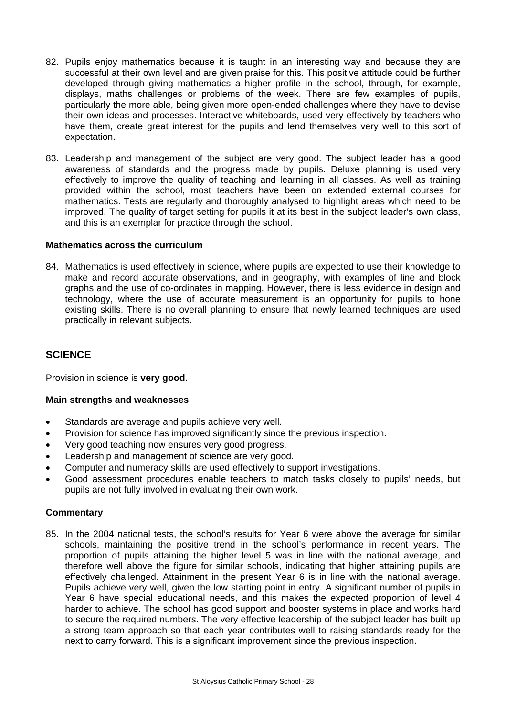- 82. Pupils enjoy mathematics because it is taught in an interesting way and because they are successful at their own level and are given praise for this. This positive attitude could be further developed through giving mathematics a higher profile in the school, through, for example, displays, maths challenges or problems of the week. There are few examples of pupils, particularly the more able, being given more open-ended challenges where they have to devise their own ideas and processes. Interactive whiteboards, used very effectively by teachers who have them, create great interest for the pupils and lend themselves very well to this sort of expectation.
- 83. Leadership and management of the subject are very good. The subject leader has a good awareness of standards and the progress made by pupils. Deluxe planning is used very effectively to improve the quality of teaching and learning in all classes. As well as training provided within the school, most teachers have been on extended external courses for mathematics. Tests are regularly and thoroughly analysed to highlight areas which need to be improved. The quality of target setting for pupils it at its best in the subject leader's own class, and this is an exemplar for practice through the school.

#### **Mathematics across the curriculum**

84. Mathematics is used effectively in science, where pupils are expected to use their knowledge to make and record accurate observations, and in geography, with examples of line and block graphs and the use of co-ordinates in mapping. However, there is less evidence in design and technology, where the use of accurate measurement is an opportunity for pupils to hone existing skills. There is no overall planning to ensure that newly learned techniques are used practically in relevant subjects.

## **SCIENCE**

Provision in science is **very good**.

#### **Main strengths and weaknesses**

- Standards are average and pupils achieve very well.
- Provision for science has improved significantly since the previous inspection.
- Very good teaching now ensures very good progress.
- Leadership and management of science are very good.
- Computer and numeracy skills are used effectively to support investigations.
- Good assessment procedures enable teachers to match tasks closely to pupils' needs, but pupils are not fully involved in evaluating their own work.

#### **Commentary**

85. In the 2004 national tests, the school's results for Year 6 were above the average for similar schools, maintaining the positive trend in the school's performance in recent years. The proportion of pupils attaining the higher level 5 was in line with the national average, and therefore well above the figure for similar schools, indicating that higher attaining pupils are effectively challenged. Attainment in the present Year 6 is in line with the national average. Pupils achieve very well, given the low starting point in entry. A significant number of pupils in Year 6 have special educational needs, and this makes the expected proportion of level 4 harder to achieve. The school has good support and booster systems in place and works hard to secure the required numbers. The very effective leadership of the subject leader has built up a strong team approach so that each year contributes well to raising standards ready for the next to carry forward. This is a significant improvement since the previous inspection.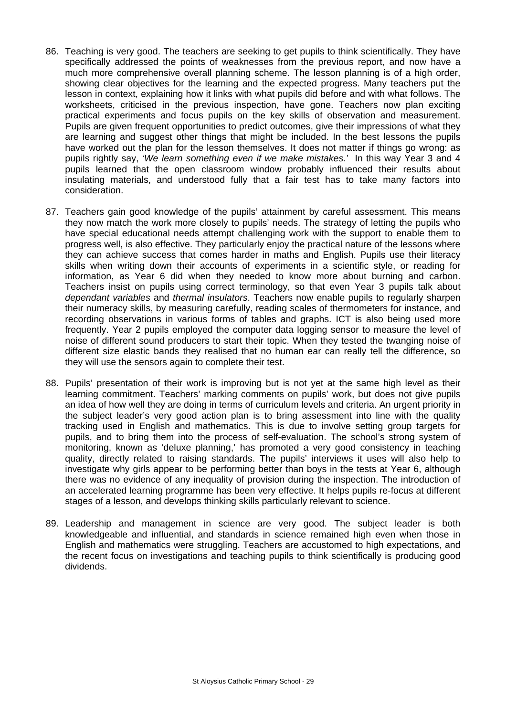- 86. Teaching is very good. The teachers are seeking to get pupils to think scientifically. They have specifically addressed the points of weaknesses from the previous report, and now have a much more comprehensive overall planning scheme. The lesson planning is of a high order, showing clear objectives for the learning and the expected progress. Many teachers put the lesson in context, explaining how it links with what pupils did before and with what follows. The worksheets, criticised in the previous inspection, have gone. Teachers now plan exciting practical experiments and focus pupils on the key skills of observation and measurement. Pupils are given frequent opportunities to predict outcomes, give their impressions of what they are learning and suggest other things that might be included. In the best lessons the pupils have worked out the plan for the lesson themselves. It does not matter if things go wrong: as pupils rightly say, *'We learn something even if we make mistakes.'* In this way Year 3 and 4 pupils learned that the open classroom window probably influenced their results about insulating materials, and understood fully that a fair test has to take many factors into consideration.
- 87. Teachers gain good knowledge of the pupils' attainment by careful assessment. This means they now match the work more closely to pupils' needs. The strategy of letting the pupils who have special educational needs attempt challenging work with the support to enable them to progress well, is also effective. They particularly enjoy the practical nature of the lessons where they can achieve success that comes harder in maths and English. Pupils use their literacy skills when writing down their accounts of experiments in a scientific style, or reading for information, as Year 6 did when they needed to know more about burning and carbon. Teachers insist on pupils using correct terminology, so that even Year 3 pupils talk about *dependant variables* and *thermal insulators*. Teachers now enable pupils to regularly sharpen their numeracy skills, by measuring carefully, reading scales of thermometers for instance, and recording observations in various forms of tables and graphs. ICT is also being used more frequently. Year 2 pupils employed the computer data logging sensor to measure the level of noise of different sound producers to start their topic. When they tested the twanging noise of different size elastic bands they realised that no human ear can really tell the difference, so they will use the sensors again to complete their test.
- 88. Pupils' presentation of their work is improving but is not yet at the same high level as their learning commitment. Teachers' marking comments on pupils' work, but does not give pupils an idea of how well they are doing in terms of curriculum levels and criteria. An urgent priority in the subject leader's very good action plan is to bring assessment into line with the quality tracking used in English and mathematics. This is due to involve setting group targets for pupils, and to bring them into the process of self-evaluation. The school's strong system of monitoring, known as 'deluxe planning,' has promoted a very good consistency in teaching quality, directly related to raising standards. The pupils' interviews it uses will also help to investigate why girls appear to be performing better than boys in the tests at Year 6, although there was no evidence of any inequality of provision during the inspection. The introduction of an accelerated learning programme has been very effective. It helps pupils re-focus at different stages of a lesson, and develops thinking skills particularly relevant to science.
- 89. Leadership and management in science are very good. The subject leader is both knowledgeable and influential, and standards in science remained high even when those in English and mathematics were struggling. Teachers are accustomed to high expectations, and the recent focus on investigations and teaching pupils to think scientifically is producing good dividends.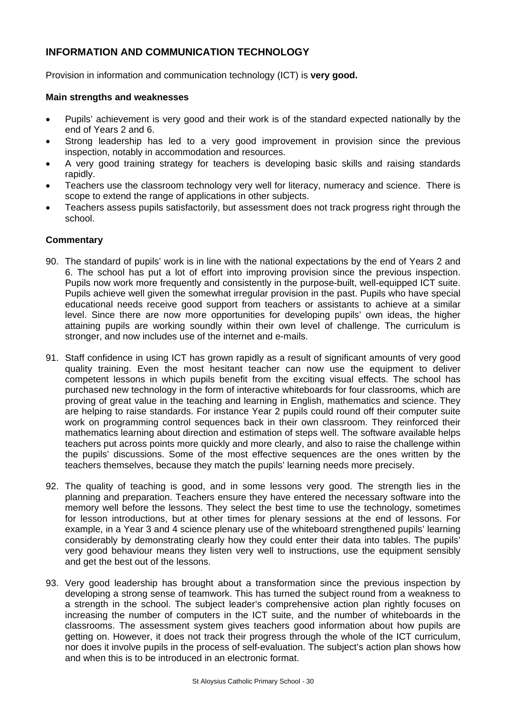# **INFORMATION AND COMMUNICATION TECHNOLOGY**

Provision in information and communication technology (ICT) is **very good.** 

#### **Main strengths and weaknesses**

- Pupils' achievement is very good and their work is of the standard expected nationally by the end of Years 2 and 6.
- Strong leadership has led to a very good improvement in provision since the previous inspection, notably in accommodation and resources.
- A very good training strategy for teachers is developing basic skills and raising standards rapidly.
- Teachers use the classroom technology very well for literacy, numeracy and science. There is scope to extend the range of applications in other subjects.
- Teachers assess pupils satisfactorily, but assessment does not track progress right through the school.

- 90. The standard of pupils' work is in line with the national expectations by the end of Years 2 and 6. The school has put a lot of effort into improving provision since the previous inspection. Pupils now work more frequently and consistently in the purpose-built, well-equipped ICT suite. Pupils achieve well given the somewhat irregular provision in the past. Pupils who have special educational needs receive good support from teachers or assistants to achieve at a similar level. Since there are now more opportunities for developing pupils' own ideas, the higher attaining pupils are working soundly within their own level of challenge. The curriculum is stronger, and now includes use of the internet and e-mails.
- 91. Staff confidence in using ICT has grown rapidly as a result of significant amounts of very good quality training. Even the most hesitant teacher can now use the equipment to deliver competent lessons in which pupils benefit from the exciting visual effects. The school has purchased new technology in the form of interactive whiteboards for four classrooms, which are proving of great value in the teaching and learning in English, mathematics and science. They are helping to raise standards. For instance Year 2 pupils could round off their computer suite work on programming control sequences back in their own classroom. They reinforced their mathematics learning about direction and estimation of steps well. The software available helps teachers put across points more quickly and more clearly, and also to raise the challenge within the pupils' discussions. Some of the most effective sequences are the ones written by the teachers themselves, because they match the pupils' learning needs more precisely.
- 92. The quality of teaching is good, and in some lessons very good. The strength lies in the planning and preparation. Teachers ensure they have entered the necessary software into the memory well before the lessons. They select the best time to use the technology, sometimes for lesson introductions, but at other times for plenary sessions at the end of lessons. For example, in a Year 3 and 4 science plenary use of the whiteboard strengthened pupils' learning considerably by demonstrating clearly how they could enter their data into tables. The pupils' very good behaviour means they listen very well to instructions, use the equipment sensibly and get the best out of the lessons.
- 93. Very good leadership has brought about a transformation since the previous inspection by developing a strong sense of teamwork. This has turned the subject round from a weakness to a strength in the school. The subject leader's comprehensive action plan rightly focuses on increasing the number of computers in the ICT suite, and the number of whiteboards in the classrooms. The assessment system gives teachers good information about how pupils are getting on. However, it does not track their progress through the whole of the ICT curriculum, nor does it involve pupils in the process of self-evaluation. The subject's action plan shows how and when this is to be introduced in an electronic format.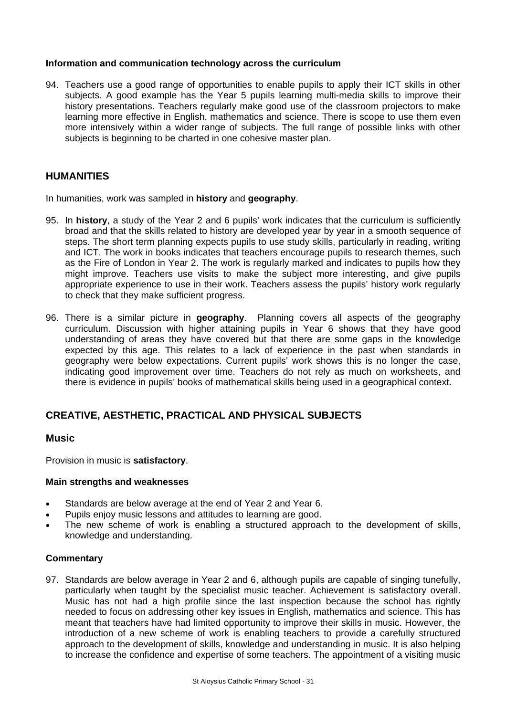### **Information and communication technology across the curriculum**

94. Teachers use a good range of opportunities to enable pupils to apply their ICT skills in other subjects. A good example has the Year 5 pupils learning multi-media skills to improve their history presentations. Teachers regularly make good use of the classroom projectors to make learning more effective in English, mathematics and science. There is scope to use them even more intensively within a wider range of subjects. The full range of possible links with other subjects is beginning to be charted in one cohesive master plan.

## **HUMANITIES**

In humanities, work was sampled in **history** and **geography**.

- 95. In **history**, a study of the Year 2 and 6 pupils' work indicates that the curriculum is sufficiently broad and that the skills related to history are developed year by year in a smooth sequence of steps. The short term planning expects pupils to use study skills, particularly in reading, writing and ICT. The work in books indicates that teachers encourage pupils to research themes, such as the Fire of London in Year 2. The work is regularly marked and indicates to pupils how they might improve. Teachers use visits to make the subject more interesting, and give pupils appropriate experience to use in their work. Teachers assess the pupils' history work regularly to check that they make sufficient progress.
- 96. There is a similar picture in **geography**. Planning covers all aspects of the geography curriculum. Discussion with higher attaining pupils in Year 6 shows that they have good understanding of areas they have covered but that there are some gaps in the knowledge expected by this age. This relates to a lack of experience in the past when standards in geography were below expectations. Current pupils' work shows this is no longer the case, indicating good improvement over time. Teachers do not rely as much on worksheets, and there is evidence in pupils' books of mathematical skills being used in a geographical context.

# **CREATIVE, AESTHETIC, PRACTICAL AND PHYSICAL SUBJECTS**

## **Music**

Provision in music is **satisfactory**.

#### **Main strengths and weaknesses**

- Standards are below average at the end of Year 2 and Year 6.
- Pupils enjoy music lessons and attitudes to learning are good.
- The new scheme of work is enabling a structured approach to the development of skills, knowledge and understanding.

## **Commentary**

97. Standards are below average in Year 2 and 6, although pupils are capable of singing tunefully, particularly when taught by the specialist music teacher. Achievement is satisfactory overall. Music has not had a high profile since the last inspection because the school has rightly needed to focus on addressing other key issues in English, mathematics and science. This has meant that teachers have had limited opportunity to improve their skills in music. However, the introduction of a new scheme of work is enabling teachers to provide a carefully structured approach to the development of skills, knowledge and understanding in music. It is also helping to increase the confidence and expertise of some teachers. The appointment of a visiting music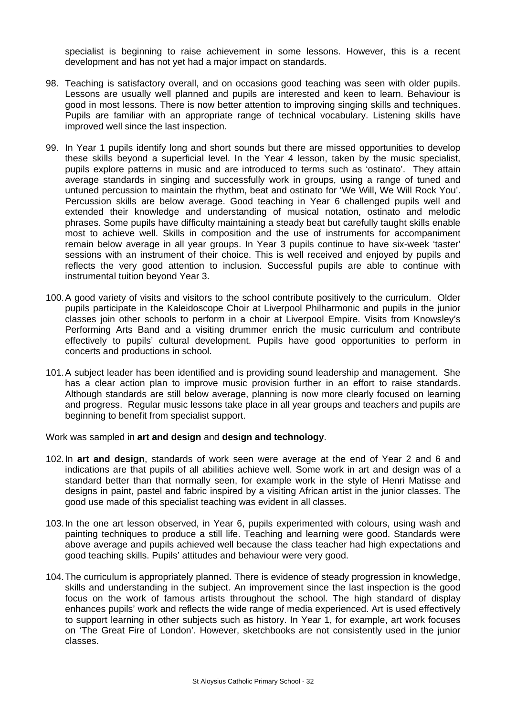specialist is beginning to raise achievement in some lessons. However, this is a recent development and has not yet had a major impact on standards.

- 98. Teaching is satisfactory overall, and on occasions good teaching was seen with older pupils. Lessons are usually well planned and pupils are interested and keen to learn. Behaviour is good in most lessons. There is now better attention to improving singing skills and techniques. Pupils are familiar with an appropriate range of technical vocabulary. Listening skills have improved well since the last inspection.
- 99. In Year 1 pupils identify long and short sounds but there are missed opportunities to develop these skills beyond a superficial level. In the Year 4 lesson, taken by the music specialist, pupils explore patterns in music and are introduced to terms such as 'ostinato'. They attain average standards in singing and successfully work in groups, using a range of tuned and untuned percussion to maintain the rhythm, beat and ostinato for 'We Will, We Will Rock You'. Percussion skills are below average. Good teaching in Year 6 challenged pupils well and extended their knowledge and understanding of musical notation, ostinato and melodic phrases. Some pupils have difficulty maintaining a steady beat but carefully taught skills enable most to achieve well. Skills in composition and the use of instruments for accompaniment remain below average in all year groups. In Year 3 pupils continue to have six-week 'taster' sessions with an instrument of their choice. This is well received and enjoyed by pupils and reflects the very good attention to inclusion. Successful pupils are able to continue with instrumental tuition beyond Year 3.
- 100. A good variety of visits and visitors to the school contribute positively to the curriculum. Older pupils participate in the Kaleidoscope Choir at Liverpool Philharmonic and pupils in the junior classes join other schools to perform in a choir at Liverpool Empire. Visits from Knowsley's Performing Arts Band and a visiting drummer enrich the music curriculum and contribute effectively to pupils' cultural development. Pupils have good opportunities to perform in concerts and productions in school.
- 101. A subject leader has been identified and is providing sound leadership and management. She has a clear action plan to improve music provision further in an effort to raise standards. Although standards are still below average, planning is now more clearly focused on learning and progress. Regular music lessons take place in all year groups and teachers and pupils are beginning to benefit from specialist support.

Work was sampled in **art and design** and **design and technology**.

- 102. In **art and design**, standards of work seen were average at the end of Year 2 and 6 and indications are that pupils of all abilities achieve well. Some work in art and design was of a standard better than that normally seen, for example work in the style of Henri Matisse and designs in paint, pastel and fabric inspired by a visiting African artist in the junior classes. The good use made of this specialist teaching was evident in all classes.
- 103. In the one art lesson observed, in Year 6, pupils experimented with colours, using wash and painting techniques to produce a still life. Teaching and learning were good. Standards were above average and pupils achieved well because the class teacher had high expectations and good teaching skills. Pupils' attitudes and behaviour were very good.
- 104. The curriculum is appropriately planned. There is evidence of steady progression in knowledge, skills and understanding in the subject. An improvement since the last inspection is the good focus on the work of famous artists throughout the school. The high standard of display enhances pupils' work and reflects the wide range of media experienced. Art is used effectively to support learning in other subjects such as history. In Year 1, for example, art work focuses on 'The Great Fire of London'. However, sketchbooks are not consistently used in the junior classes.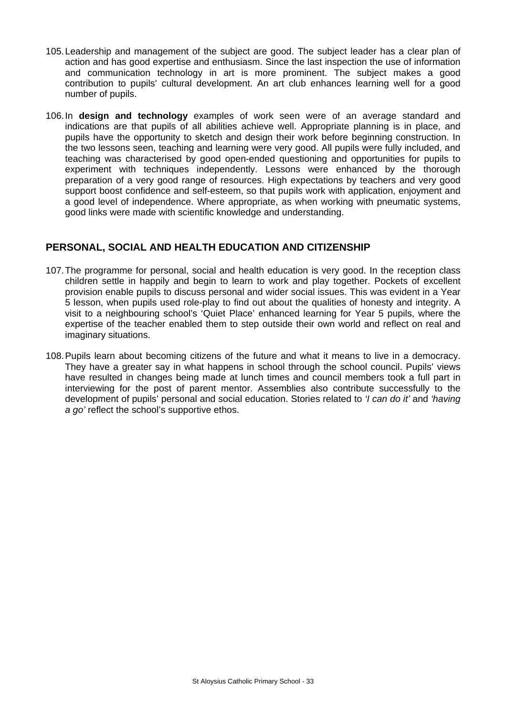- 105. Leadership and management of the subject are good. The subject leader has a clear plan of action and has good expertise and enthusiasm. Since the last inspection the use of information and communication technology in art is more prominent. The subject makes a good contribution to pupils' cultural development. An art club enhances learning well for a good number of pupils.
- 106. In **design and technology** examples of work seen were of an average standard and indications are that pupils of all abilities achieve well. Appropriate planning is in place, and pupils have the opportunity to sketch and design their work before beginning construction. In the two lessons seen, teaching and learning were very good. All pupils were fully included, and teaching was characterised by good open-ended questioning and opportunities for pupils to experiment with techniques independently. Lessons were enhanced by the thorough preparation of a very good range of resources. High expectations by teachers and very good support boost confidence and self-esteem, so that pupils work with application, enjoyment and a good level of independence. Where appropriate, as when working with pneumatic systems, good links were made with scientific knowledge and understanding.

# **PERSONAL, SOCIAL AND HEALTH EDUCATION AND CITIZENSHIP**

- 107. The programme for personal, social and health education is very good. In the reception class children settle in happily and begin to learn to work and play together. Pockets of excellent provision enable pupils to discuss personal and wider social issues. This was evident in a Year 5 lesson, when pupils used role-play to find out about the qualities of honesty and integrity. A visit to a neighbouring school's 'Quiet Place' enhanced learning for Year 5 pupils, where the expertise of the teacher enabled them to step outside their own world and reflect on real and imaginary situations.
- 108. Pupils learn about becoming citizens of the future and what it means to live in a democracy. They have a greater say in what happens in school through the school council. Pupils' views have resulted in changes being made at lunch times and council members took a full part in interviewing for the post of parent mentor. Assemblies also contribute successfully to the development of pupils' personal and social education. Stories related to *'I can do it'* and *'having a go'* reflect the school's supportive ethos.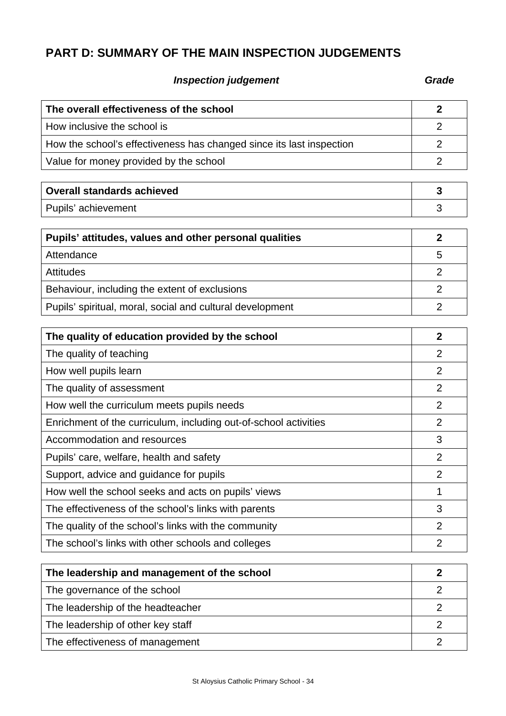# **PART D: SUMMARY OF THE MAIN INSPECTION JUDGEMENTS**

# **Inspection judgement** Grade **Grade**

| The overall effectiveness of the school                              |  |
|----------------------------------------------------------------------|--|
| How inclusive the school is                                          |  |
| How the school's effectiveness has changed since its last inspection |  |
| Value for money provided by the school                               |  |

| <b>Overall standards achieved</b> |  |
|-----------------------------------|--|
| Pupils' achievement               |  |

| Pupils' attitudes, values and other personal qualities    |   |  |
|-----------------------------------------------------------|---|--|
| Attendance                                                | 5 |  |
| <b>Attitudes</b>                                          |   |  |
| Behaviour, including the extent of exclusions             |   |  |
| Pupils' spiritual, moral, social and cultural development |   |  |

| The quality of education provided by the school                  |                |
|------------------------------------------------------------------|----------------|
| The quality of teaching                                          | 2              |
| How well pupils learn                                            | $\overline{2}$ |
| The quality of assessment                                        | 2              |
| How well the curriculum meets pupils needs                       | 2              |
| Enrichment of the curriculum, including out-of-school activities | 2              |
| Accommodation and resources                                      | 3              |
| Pupils' care, welfare, health and safety                         | $\overline{2}$ |
| Support, advice and guidance for pupils                          | $\overline{2}$ |
| How well the school seeks and acts on pupils' views              | 1              |
| The effectiveness of the school's links with parents             | 3              |
| The quality of the school's links with the community             | 2              |
| The school's links with other schools and colleges               | $\overline{2}$ |

| The leadership and management of the school |  |
|---------------------------------------------|--|
| The governance of the school                |  |
| The leadership of the headteacher           |  |
| The leadership of other key staff           |  |
| The effectiveness of management             |  |